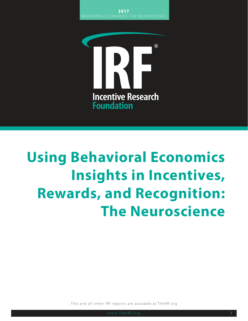

# **Using Behavioral Economics Insights in Incentives, Rewards, and Recognition: The Neuroscience**

This and all other IRF reports are available at TheIRF.org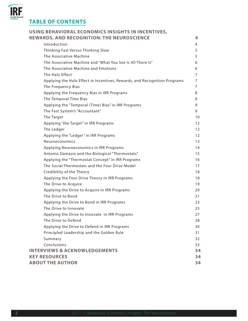

# **TABLE OF CONTENTS**

| USING BEHAVIORAL ECONOMICS INSIGHTS IN INCENTIVES,                        |                   |
|---------------------------------------------------------------------------|-------------------|
| <b>REWARDS, AND RECOGNITION: THE NEUROSCIENCE</b>                         | 4                 |
| Introduction                                                              | 4                 |
| Thinking Fast Versus Thinking Slow                                        | 5                 |
| The Associative Machine                                                   | 5                 |
| The Associative Machine and "What You See Is All There Is"                | 6                 |
| The Associative Machine and Emotions                                      | 6                 |
| The Halo Effect                                                           | 7                 |
| Applying the Halo Effect in Incentives, Rewards, and Recognition Programs | 7                 |
| The Frequency Bias                                                        | 7                 |
| Applying the Frequency Bias in IRR Programs                               | 8                 |
| The Temporal Time Bias                                                    | 8                 |
| Applying the "Temporal (Time) Bias" in IRR Programs                       | 9                 |
| The Fast System's "Accountant"                                            | 9                 |
| The Target                                                                | 10                |
| Applying "the Target" in IRR Programs                                     | $12 \overline{ }$ |
| The Ledger                                                                | $12 \overline{ }$ |
| Applying the "Ledger" in IRR Programs                                     | $12 \overline{ }$ |
| Neuroeconomics                                                            | 13                |
| Applying Neuroeconomics in IRR Programs                                   | 14                |
| Antonio Damasio and the Biological "Thermostats"                          | 15                |
| Applying the "Thermostat Concept" in IRR Programs                         | 16                |
| The Social Thermostats and the Four Drive Model                           | 17                |
| Credibility of the Theory                                                 | 18                |
| Applying the Four Drive Theory in IRR Programs                            | 18                |
| The Drive to Acquire                                                      | 19                |
| Applying the Drive to Acquire in IRR Programs                             | 20                |
| The Drive to Bond                                                         | 21                |
| Applying the Drive to Bond in IRR Programs                                | 23                |
| The Drive to Innovate                                                     | 25                |
| Applying the Drive to Innovate in IRR Programs                            | 27                |
| The Drive to Defend                                                       | 28                |
| Applying the Drive to Defend in IRR Programs                              | 30                |
| Principled Leadership and the Golden Rule                                 | 31                |
| Summary                                                                   | 32                |
| Conclusions                                                               | 33                |
| <b>INTERVIEWS &amp; ACKNOWLEDGEMENTS</b>                                  | 34                |
| <b>KEY RESOURCES</b>                                                      | 34                |
| <b>ABOUT THE AUTHOR</b>                                                   | 34                |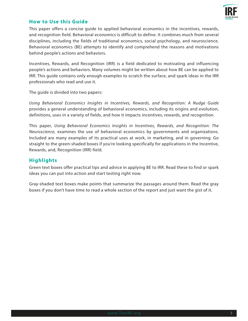

# **How to Use this Guide**

This paper offers a concise guide to applied behavioral economics in the incentives, rewards, and recognition field. Behavioral economics is difficult to define. It combines much from several disciplines, including the fields of traditional economics, social psychology, and neuroscience. Behavioral economics (BE) attempts to identify and comprehend the reasons and motivations behind people's actions and behaviors.

Incentives, Rewards, and Recognition (IRR) is a field dedicated to motivating and influencing people's actions and behaviors. Many volumes might be written about how BE can be applied to IRR. This guide contains only enough examples to scratch the surface, and spark ideas in the IRR professionals who read and use it.

The guide is divided into two papers:

*Using Behavioral Economics Insights in Incentives, Rewards, and Recognition: A Nudge Guide* provides a general understanding of behavioral economics, including its origins and evolution, definitions, uses in a variety of fields, and how it impacts incentives, rewards, and recognition.

This paper, *Using Behavioral Economics Insights in Incentives, Rewards, and Recognition: The Neuroscience,* examines the use of behavioral economics by governments and organizations. Included are many examples of its practical uses at work, in marketing, and in governing. Go straight to the green-shaded boxes if you're looking specifically for applications in the Incentive, Rewards, and, Recognition (IRR) field.

# **Highlights**

Green text boxes offer practical tips and advice in applying BE to IRR. Read these to find or spark ideas you can put into action and start testing right now.

Gray-shaded text boxes make points that summarize the passages around them. Read the gray boxes if you don't have time to read a whole section of the report and just want the gist of it.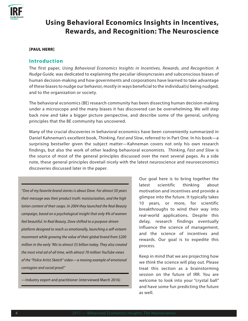

# **Using Behavioral Economics Insights in Incentives, Rewards, and Recognition: The Neuroscience**

#### [PAUL HERR]

## **Introduction**

The first paper, *Using Behavioral Economics Insights in Incentives, Rewards, and Recognition: A Nudge Guide,* was dedicated to explaining the peculiar idiosyncrasies and subconscious biases of human decision-making and how governments and corporations have learned to take advantage of these biases to nudge our behavior, mostly in ways beneficial to the individual(s) being nudged, and to the organization or society.

The behavioral economics (BE) research community has been dissecting human decision-making under a microscope and the many biases it has discovered can be overwhelming. We will step back now and take a bigger picture perspective, and describe some of the general, unifying principles that the BE community has uncovered.

Many of the crucial discoveries in behavioral economics have been conveniently summarized in Daniel Kahneman's excellent book, *Thinking, Fast and Slow*, referred to in Part One. In his book—a surprising bestseller given the subject matter—Kahneman covers not only his own research findings, but also the work of other leading behavioral economists. *Thinking, Fast and Slow* is the source of most of the general principles discussed over the next several pages. As a side note, these general principles dovetail nicely with the latest neuroscience and neuroeconomics discoveries discussed later in the paper.

*"One of my favorite brand stories is about Dove. For almost 50 years their message was their product truth: moisturization, and the high lotion content of their soaps. In 2004 they launched the Real Beauty campaign, based on a psychological insight that only 4% of women feel beautiful. In Real Beauty, Dove shifted to a purpose-driven platform designed to reach us emotionally, launching a self-esteem movement while growing the value of their global brand from \$200 million in the early '90s to almost \$5 billion today. They also created the most viral ad of all time, with almost 70 million YouTube views of the "Police Artist Sketch" video—a moving example of emotional contagion and social proof."* 

—Industry expert and practitioner (interviewed March 2016)

Our goal here is to bring together the latest scientific thinking about motivation and incentives and provide a glimpse into the future. It typically takes 10 years, or more, for scientific breakthroughs to wind their way into real-world applications. Despite this delay, research findings eventually influence the science of management, and the science of incentives and rewards. Our goal is to expedite this process.

Keep in mind that we are projecting how we *think* the science will play out. Please treat this section as a brainstorming session on the future of IRR. You are welcome to look into your "crystal ball" and have some fun predicting the future as well.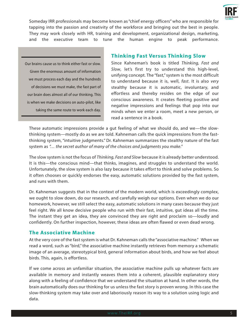

Someday IRR professionals may become known as "chief energy officers" who are responsible for tapping into the passion and creativity of the workforce and bringing out the best in people. They may work closely with HR, training and development, organizational design, marketing, and the executive team to tune the human engine to peak performance.

Our brains cause us to think either fast or slow. Given the enormous amount of information we must process each day and the hundreds of decisions we must make, the fast part of our brain does almost all of our thinking. This is when we make decisions on auto-pilot, like taking the same route to work each day.

# **Thinking Fast Versus Thinking Slow**

Since Kahneman's book is titled *Thinking, Fast and Slow*, let's first try to understand this high-level, unifying concept. The "fast," system is the most difficult to understand because it is, well, *fast*. It is also *very* stealthy because it is automatic, involuntary, and effortless and thereby resides on the edge of our conscious awareness. It creates fleeting positive and negative impressions and feelings that pop into our minds when we enter a room, meet a new person, or read a sentence in a book.

These automatic impressions provide a gut feeling of what we should do, and we—the slowthinking system—mostly do as we are told. Kahneman calls the quick impressions from the fastthinking system, "intuitive judgments." Dr. Kahneman summarizes the stealthy nature of the fast system as *"… the secret author of many of the choices and judgments you make."* 

The slow system is not the focus of *Thinking, Fast and Slow* because it is already better understood. It is this—the conscious mind—that thinks, imagines, and struggles to understand the world. Unfortunately, the slow system is also lazy because it takes *effort* to think and solve problems. So it often chooses or quickly endorses the easy, automatic solutions provided by the fast system, and runs with them.

Dr. Kahneman suggests that in the context of the modern world, which is exceedingly complex, we ought to slow down, do our research, and carefully weigh our options. Even when we do our homework, however, we still select the easy, automatic solutions in many cases because they just feel right. We all know decisive people who run with their fast, intuitive, gut ideas all the time. The instant they get an idea, they are convinced they are right and proclaim so—loudly and confidently. On further inspection, however, these ideas are often flawed or even dead wrong.

# **The Associative Machine**

At the very core of the fast system is what Dr. Kahneman calls the "associative machine." When we read a word, such as "bird," the associative machine instantly retrieves from memory a schematic image of an average, stereotypical bird, general information about birds, and how we feel about birds. This, again, is effortless.

If we come across an unfamiliar situation, the associative machine pulls up whatever facts are available in memory and instantly weaves them into a coherent, plausible explanatory story along with a feeling of confidence that we understand the situation at hand. In other words, the brain automatically does our thinking for us unless the fast story is proven wrong. In this case the slow-thinking system may take over and laboriously reason its way to a solution using logic and data.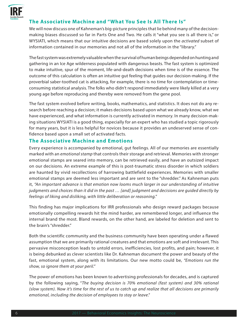

# **The Associative Machine and "What You See Is All There Is"**

We will now discuss one of Kahneman's big-picture principles that lie behind many of the decisionmaking biases discussed so far in Parts One and Two. He calls it "what you see is all there is," or WYSIATI, which means that our intuitive decisions are based solely upon the *activated* subset of information contained in our memories and not all of the information in the "library."

The fast system was extremely valuable when the survival of human beings depended on hunting and gathering in an Ice Age wilderness populated with dangerous beasts. The fast system is optimized to make intuitive, spur of the moment, life-and-death decisions when time is of the essence. The outcome of this calculation is often an intuitive gut feeling that guides our decision-making. If the proverbial saber-toothed cat is attacking, for example, there is no time for contemplation or timeconsuming statistical analysis. The folks who didn't respond immediately were likely killed at a very young age before reproducing and thereby were removed from the gene pool.

The fast system evolved before writing, books, mathematics, and statistics. It does not do any research before reaching a decision; it makes decisions based upon what we already know, what we have experienced, and what information is currently activated in memory. In many decision-making situations WYSIATI is a good thing, especially for an expert who has studied a topic rigorously for many years, but it is less helpful for novices because it provides an undeserved sense of confidence based upon a small set of activated facts.

# **The Associative Machine and Emotions**

Every experience is accompanied by emotional, gut feelings. All of our memories are essentially marked with an *emotional stamp* that controls their storage and retrieval. Memories with stronger emotional stamps are seared into memory, can be retrieved easily, and have an outsized impact on our decisions. An extreme example of this is post-traumatic stress disorder in which soldiers are haunted by vivid recollections of harrowing battlefield experiences. Memories with smaller emotional stamps are deemed less important and are sent to the "shredder." As Kahneman puts it, *"An important advance is that emotion now looms much larger in our understanding of intuitive judgments and choices than it did in the past … [and] judgment and decisions are guided directly by feelings of liking and disliking, with little deliberation or reasoning."*

This finding has major implications for IRR professionals who design reward packages because emotionally compelling rewards hit the mind harder, are remembered longer, and influence the internal brand the most. Bland rewards, on the other hand, are labeled for deletion and sent to the brain's "shredder."

Both the scientific community and the business community have been operating under a flawed assumption that we are primarily rational creatures and that emotions are soft and irrelevant. This pervasive misconception leads to untold errors, inefficiencies, lost profits, and pain; however, it is being debunked as clever scientists like Dr. Kahneman document the power and beauty of the fast, emotional system, along with its limitations. Our new motto could be, *"Emotions run the show, so ignore them at your peril."*

The power of emotions has been known to advertising professionals for decades, and is captured by the following saying, "*The buying decision is 70% emotional (fast system) and 30% rational (slow system). Now it's time for the rest of us to catch up and realize that all decisions are primarily emotional, including the decision of employees to stay or leave*."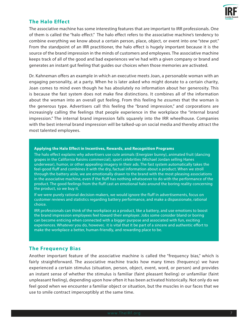

# **The Halo Effect**

The associative machine has some interesting features that are important to IRR professionals. One of them is called the "halo effect." The halo effect refers to the associative machine's tendency to combine everything we know about a certain person, place, object, or event into one "stew pot." From the standpoint of an IRR practitioner, the halo effect is hugely important because it is the source of the brand impression in the minds of customers and employees. The associative machine keeps track of all of the good and bad experiences we've had with a given company or brand and generates an instant gut feeling that guides our choices when those memories are activated.

Dr. Kahneman offers an example in which an executive meets Joan, a personable woman with an engaging personality, at a party. When he is later asked who might donate to a certain charity, Joan comes to mind even though he has absolutely no information about her generosity. This is because the fast system does not make fine distinctions. It combines all of the information about the woman into an overall gut feeling. From this feeling he *assumes* that the woman is the generous type. Advertisers call this feeling the "brand impression," and corporations are increasingly calling the feelings that people experience in the workplace the "internal brand impression." The internal brand impression falls squarely into the IRR wheelhouse. Companies with the best internal brand impression will be talked-up on social media and thereby attract the most talented employees.

#### **Applying the Halo Effect in Incentives, Rewards, and Recognition Programs**

The halo effect explains why advertisers use cute animals (Energizer bunny), animated fruit (dancing grapes in the California Raisins commercial), sport celebrities (Michael Jordan selling Hanes underwear), humor, or other appealing imagery in their ads. The fast system automatically takes the feel-good fluff and combines it with the dry, factual information about a product. When we stroll through the battery aisle, we are emotionally drawn to the brand with the most pleasing associations in the associative machine, even if the fluff has nothing whatsoever to do with the performance of the product. The good feelings from the fluff cast an emotional halo around the boring reality concerning the product, so we buy it.

If we were purely rational decision-makers, we would ignore the fluff in advertisements, focus on customer reviews and statistics regarding battery performance, and make a dispassionate, rational choice.

IRR professionals can think of the workplace as a product, like a battery, and use emotions to boost the brand impression employees feel toward their employer. Jobs some consider bland or boring can become enticing when connected with a bigger purpose and associated with fun, exciting experiences. Whatever you do, however, it is vital that it be part of a sincere and authentic effort to make the workplace a better, human-friendly, and rewarding place to be.

#### **The Frequency Bias**

Another important feature of the associative machine is called the "frequency bias," which is fairly straightforward. The associative machine tracks how many times (frequency) we have experienced a certain stimulus (situation, person, object, event, word, or person) and provides an instant sense of whether the stimulus is familiar (faint pleasant feeling) or unfamiliar (faint unpleasant feeling), depending upon how often it has been activated historically. Not only do we feel good when we encounter a familiar object or situation, but the muscles in our faces that we use to smile contract imperceptibly at the same time.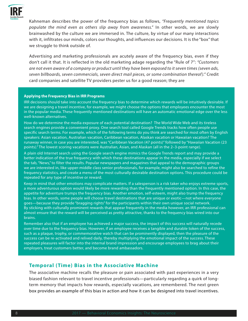

Kahneman describes the power of the frequency bias as follows, *"Frequently mentioned topics populate the mind even as others slip away from awareness."* In other words, we are slowly brainwashed by the culture we are immersed in. The culture, by virtue of our many interactions with it, infiltrates our minds, colors our thoughts, and influences our decisions. It is the "box" that we struggle to think outside of.

Advertising and marketing professionals are acutely aware of the frequency bias, even if they don't call it that. It is reflected in the old marketing adage regarding the "Rule of 7": *"Customers are not even aware of a company or product until they have been exposed to it seven times (seven ads, seven billboards, seven commercials, seven direct mail pieces, or some combination thereof )."* Credit card companies and satellite TV providers pester us for a good reason; they are

#### **Applying the Frequency Bias in IRR Programs**

IRR decisions should take into account the frequency bias to determine which rewards will be intuitively desirable. If we are designing a travel incentive, for example, we might choose the options that employees encounter the most in the popular media. These frequently mentioned destinations will have an automatic emotional edge over the less well-known alternatives.

How do we determine the media exposure of each potential destination? The World Wide Web and its tireless search engines provide a convenient proxy. One search tool called Google Trends tracks how often people use specific search terms. For example, which of the following terms do you think are searched for most often by English speakers: Asian vacation, Australian vacation, Caribbean vacation, Alaskan vacation or Hawaiian vacation? The runaway winner, in case you are interested, was "Caribbean Vacation (47 points)" followed by "Hawaiian Vacation (23 points)." The lowest scoring vacations were Australian, Asian, and Alaskan (all in the 2–3-point range).

A plain old Internet search using the Google search engine mimics the Google Trends report and may provide a better indication of the true frequency with which these destinations appear in the media, especially if we select the tab, "News," to filter the results. Popular newspapers and magazines that appeal to the demographic groups we are interested in, like upper-middle class senior professionals, for example, might also be searched to refine the frequency statistics, and create a menu of the most culturally desirable destination options. This procedure could be repeated for any type of incentive or reward.

Keep in mind that other emotions may complicate matters. If a salesperson is a risk taker who enjoys extreme sports, a more adventurous option would likely be more rewarding than the frequently mentioned option. In this case, the appetite for adventure trumps the frequency bias. Another emotion, self-esteem, might also trump the frequency bias. In other words, some people will choose travel destinations that are unique or exotic—not where everyone goes—because they provide "bragging rights" for the participants within their own unique social network. By sticking with culturally prominent rewards that appear frequently in the media however, an IRR professional can almost ensure that the reward will be perceived as pretty attractive, thanks to the frequency bias wired into our brains.

Remember also that if an employee has achieved a major success, the impact of this success will naturally recede over time due to the frequency bias. However, if an employee receives a tangible and durable token of the success, such as a plaque, trophy, or commemorative watch that can be prominently displayed, then the pleasure of the success can be re-activated and relived daily, thereby multiplying the emotional impact of the success. These repeated pleasures will factor into the internal brand impression and encourage employees to brag about their employers, treat customers better, and become brand ambassadors.

# **Temporal (Time) Bias in the Associative Machine**

The associative machine recalls the pleasure or pain associated with past experiences in a very biased fashion relevant to travel incentive professionals—particularly regarding a quirk of longterm memory that impacts how rewards, especially vacations, are remembered. The next green box provides an example of this bias in action and how it can be designed into travel incentives.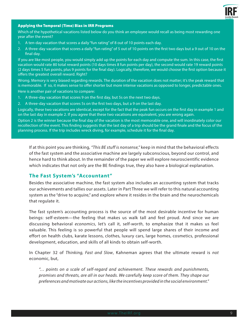

#### Applying the Temporal (Time) Bias in IRR Programs

Which of the hypothetical vacations listed below do you think an employee would recall as being most rewarding one year after the event?

- 1. A ten-day vacation that scores a daily "fun rating" of 8 out of 10 points each day.
- 2. A three-day vacation that scores a daily "fun rating" of 5 out of 10 points on the first two days but a 9 out of 10 on the final day.

If you are like most people, you would simply add up the points for each day and compute the sum. In this case, the first vacation would rate 80 total reward points (10 days times 8 fun points per day), the second would rate 19 reward points (2 days times 5 fun points, plus 9 points for the final day). Logically, therefore, we would choose the first option because it offers the greatest overall reward. Right?

Wrong. Memory is very biased regarding rewards. The duration of the vacation does not matter; it's the peak reward that is memorable. If so, it makes sense to offer shorter but more intense vacations as opposed to longer, predictable ones.

Here is another pair of vacations to compare:

- 1. A three-day vacation that scores 9 on the first day, but 5s on the next two days.
- 2. A three-day vacation that scores 5s on the first two days, but a 9 on the last day.

Logically, these two vacations are identical, except for the fact that the peak fun occurs on the first day in example 1 and on the last day in example 2. If you agree that these two vacations are equivalent, you are wrong again.

Option 2 is the winner because the final day of the vacation is the most memorable one, and will inordinately color our recollection of the event. This finding suggests that the last day of a trip should be the grand finale and the focus of the planning process. If the trip includes wreck diving, for example, schedule it for the final day.

If at this point you are thinking, *"This BE stuff is nonsense,"* keep in mind that the behavioral effects of the fast system and the associative machine are largely subconscious, beyond our control, and hence hard to think about. In the remainder of the paper we will explore neuroscientific evidence which indicates that not only are the BE findings true, they also have a biological explanation.

#### **The Fast System's "Accountant"**

Besides the associative machine, the fast system also includes an accounting system that tracks our achievements and tallies our assets. Later in Part Three we will refer to this natural accounting system as the "drive to acquire," and explore where it resides in the brain and the neurochemicals that regulate it.

The fast system's accounting process is the source of the most desirable incentive for human beings: self-esteem—the feeling that makes us walk tall and feel proud. And since we are discussing behavioral *economics*, let's call it, self-*worth*, to emphasize that it makes us feel valuable. This feeling is so powerful that people will spend large shares of their income and effort on health clubs, karate lessons, clothes, luxury cars, large homes, cosmetics, professional development, education, and skills of all kinds to obtain self-worth.

In Chapter 32 of *Thinking, Fast and Slow*, Kahneman agrees that the ultimate reward is *not* economic, but,

*"… points on a scale of self-regard and achievement. These rewards and punishments, promises and threats, are all in our heads. We carefully keep score of them. They shape our preferences and motivate our actions, like the incentives provided in the social environment."*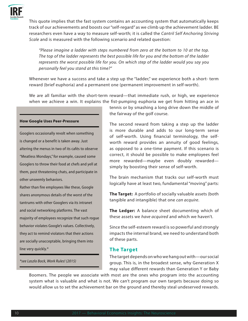

This quote implies that the fast system contains an accounting system that automatically keeps track of our achievements and boosts our "self-regard" as we climb up the achievement ladder. BE researchers even have a way to measure self-worth; it is called the *Cantril Self Anchoring Striving Scale* and is measured with the following scenario and related question:

*"Please imagine a ladder with steps numbered from zero at the bottom to 10 at the top. The top of the ladder represents the best possible life for you and the bottom of the ladder represents the worst possible life for you. On which step of the ladder would you say you personally feel you stand at this time?"* 

Whenever we have a success and take a step up the "ladder," we experience both a short- term reward (brief euphoria) and a permanent one (permanent improvement in self-worth).

We are all familiar with the short-term reward—that immediate rush, or high, we experience when we achieve a win. It explains the fist-pumping euphoria we get from hitting an ace in

#### **How Google Uses Peer-Pressure**

Googlers occasionally revolt when something is changed or a benefit is taken away. Just altering the menus in two of its cafés to observe "Meatless Mondays," for example, caused some Googlers to throw their food at chefs and yell at them, post threatening chats, and participate in other unseemly behaviors.

Rather than fire employees like these, Google shares anonymous details of the worst of the tantrums with other Googlers via its intranet and social networking platforms. The vast majority of employees recognize that such rogue behavior violates Google's values. Collectively, they act to remind violators that their actions are socially unacceptable, bringing them into line very quickly.\*

*\*see Laszlo Bock, Work Rules! (2015)*

tennis or by smashing a long drive down the middle of the fairway of the golf course.

The second reward from taking a step up the ladder is more durable and adds to our long-term sense of self-worth. Using financial terminology, the selfworth reward provides an annuity of good feelings, as opposed to a one-time payment. If this scenario is correct, it should be possible to make employees feel more rewarded—maybe even doubly rewarded simply by boosting their sense of self-worth.

The brain mechanism that tracks our self-worth must logically have at least two, fundamental "moving" parts:

**The Target:** A portfolio of socially valuable assets (both tangible and intangible) that one *can acquire*.

**The Ledger:** A balance sheet documenting which of these assets we *have acquired* and which we haven't.

Since the self-esteem reward is so powerful and strongly impacts the internal brand, we need to understand both of these parts.

#### **The Target**

The target depends on who we hang out with—our social group. This is, in the broadest sense, why Generation X may value different rewards than Generation Y or Baby

Boomers. The people we associate with most are the ones who program into the accounting system what is valuable and what is not. We can't program our own targets because doing so would allow us to set the achievement bar on the ground and thereby steal undeserved rewards.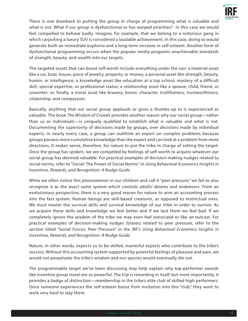

There is one drawback to putting the group in charge of programming what is valuable and what is not. What if our group is dysfunctional or has warped priorities? In this case we would feel compelled to behave badly. Imagine, for example, that we belong to a notorious gang in which carjacking a luxury SUV is considered a laudable achievement. In this case, doing so would generate both an immediate euphoria and a long-term increase in self-esteem. Another form of dysfunctional programming occurs when the popular media programs unachievable standards of strength, beauty, and wealth into our targets.

The targeted assets that can boost self-worth include everything under the sun: a material asset like a car, boat, house, piece of jewelry, property, or money; a personal asset like strength, beauty, humor, or intelligence; a knowledge asset like education at a top school, mastery of a difficult skill, special expertise, or professional status; a relationship asset like a spouse, child, friend, or coworker; or, finally, a moral asset like bravery, honor, character, truthfulness, trustworthiness, citizenship, and compassion.

Basically, anything that our social group applauds or gives a thumbs-up to is experienced as valuable. The book *The Wisdom of Crowds* provides another reason why our social group—rather than us as individuals—is uniquely qualified to establish what is valuable and what is not. Documenting the superiority of decisions made by groups, over decisions made by individual experts, in nearly every case, a group can outthink an expert on complex problems because groups possess more cumulative knowledge than the expert and can look at a problem from more directions. It makes sense, therefore, for nature to put the tribe in charge of setting the target. Once the group has spoken, we are compelled by feelings of self-worth to acquire whatever our social group has deemed valuable. For practical examples of decision-making nudges related to social norms, refer to "Social: The Power of Social Norms," in *Using Behavioral Economics Insights in Incentives, Rewards, and Recognition: A Nudge Guide*.

While we often notice this phenomenon in our children and call it "peer pressure," we fail to also recognize it as the exact same system which controls adults' desires and endeavors. From an evolutionary perspective, there is a very good reason for nature to wire an accounting process into the fast system. Human beings are skill-based creatures, as opposed to instinctual ones. We must master the survival skills and survival knowledge of our tribe in order to survive. As we acquire these skills and knowledge we feel better and if we lack them we feel bad. If we completely ignore the wisdom of the tribe we may even feel ostracized or like an outcast. For practical examples of decision-making nudges (biases) related to peer pressure, refer to the section titled "Social Forces: Peer Pressure" in the IRF's *Using Behavioral Economics Insights in Incentives, Rewards, and Recognition: A Nudge Guide*.

Nature, in other words, expects us to be skilled, masterful experts who contribute to the tribe's success. Without this accounting system supported by powerful feelings of pleasure and pain, we would not perpetuate the tribe's wisdom and our species would eventually die out.

The programmable target we've been discussing may help explain why top-performer awards like incentive group travel are so powerful. The trip is rewarding in itself, but more importantly, it provides a badge of distinction—membership in the tribe's elite club of skilled high performers. Once someone experiences the self-esteem boost from invitation into this "club," they want to work very hard to stay there.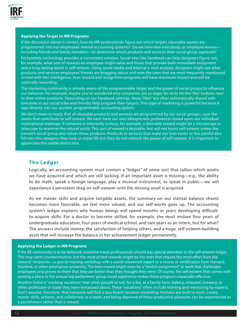

#### **Applying the Target in IRR Programs**

If the discussion above is correct, how do IRR professionals figure out which targets (desirable assets) are programmed into our employees' mental accounting systems? Do we interview everybody an employee knows including friends and family members—to determine which products and services their social group applauds?

Fortunately, technology provides a convenient solution. Social sites like Facebook can help designers figure out, for example, what sort of rewards an employee might value and those that provide both immediate enjoyment and a long-lasting boost in self-esteem. Using social media and internal e-mail analysis, designers might see what products and services employees' friends are bragging about and note the ones that are most frequently mentioned. Armed with this intelligence, their reward and recognition programs will have maximum impact and will be optimally rewarding.

The marketing community is already aware of the programmable target and the power of social groups to influence our behavior. For example, maybe you've wondered why companies are so eager for us to hit the "like" buttons next to their online products. Depending on our Facebook settings, these "likes" are often automatically shared with everyone in our social tribe and thereby help program their targets. This type of marketing is powerful because it taps directly into our ancient, programmable accounting system.

We don't mean to imply that all desirable products and services are programmed by our social groups—just the assets that contribute to self-esteem. We each have our own idiosyncratic preferences based upon our individual motivational makeups. If someone is inherently curious, for example, a desirable reward might be a microscope or telescope to examine the natural world. This sort of reward is desirable, but will not boost self-esteem unless the person's social group also values these products. Products or services that make our lives easier or less painful also fall into this category; they help us enjoy life but they do not unleash the power of self-esteem. It is important to appreciate this subtle distinction.

# **The Ledger**

Logically, an accounting system must contain a "ledger" of some sort that tallies which assets we have acquired and which are still lacking. If an important asset is missing—e.g., the ability to do math, speak a foreign language, play a musical instrument, or speak in public—we will experience a persistent drag on self-esteem until the missing asset is acquired.

As we master skills and acquire tangible assets, the summary on our mental balance sheets becomes more favorable, we feel more valued, and our self-worth goes up. The accounting system's ledger explains why human beings will spend months or years developing difficultto-acquire skills. For a doctor to become skilled, for example, she must endure four years of undergraduate education, four years of medical school, and two years as an intern, but for what? The answers include money, the satisfaction of helping others, and a huge, self-esteem-building asset that will increase the balance in her achievement ledger *permanently*.

#### **Applying the Ledger in IRR Programs**

If the BE community is to be believed, incentive travel professionals should pay special attention to the self-esteem ledger. This may seem counterintuitive, but the most prized rewards might be the ones that require the most effort from the rewards' recipients—a special training workshop with a world-renowned expert or a course or certification from Harvard, Stanford, or other prestigious university. The best reward might even be a "stretch assignment" at work that challenges employees and proves to them that they are better than they thought they were. Of course, the self-esteem that comes with earning a place in the annual top performers' group travel experience makes those programs especially effective.

Another trend is "working vacations" that allow people to toil, for a fee, at a family farm, bakery, vineyard, brewery, or other profession or trade they have fantasized about. These "vacations" often include training and mentoring by experts. Don't assume, therefore, that everyone will find a lazy beach vacation rewarding. Humans are built to work, create, master skills, achieve, and collaborate as a team, and being deprived of these productive pleasures can be experienced as a punishment rather than a reward.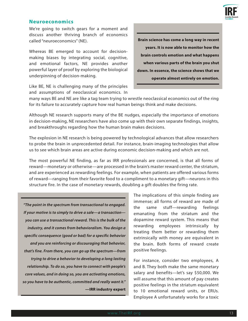

### **Neuroeconomics**

We're going to switch gears for a moment and discuss another thriving branch of economics called "neuroeconomics" (NE).

Whereas BE emerged to account for decisionmaking biases by integrating social, cognitive, and emotional factors, NE provides another powerful layer of proof by exploring the biological underpinning of decision-making.

Like BE, NE is challenging many of the principles and assumptions of neoclassical economics. In

# **Brain science has come a long way in recent years. It is now able to monitor how the brain controls emotion and what happens when various parts of the brain you shut down. In essence, the science shows that we operate almost entirely on emotion.**

many ways BE and NE are like a tag team trying to wrestle neoclassical economics out of the ring for its failure to accurately capture how real human beings think and make decisions.

Although NE research supports many of the BE nudges, especially the importance of emotions in decision-making, NE researchers have also come up with their own separate findings, insights, and breakthroughs regarding how the human brain makes decisions.

The explosion in NE research is being powered by technological advances that allow researchers to probe the brain in unprecedented detail. For instance, brain-imaging technologies that allow us to see which brain areas are active during economic decision-making and which are not.

The most powerful NE finding, as far as IRR professionals are concerned, is that all forms of reward—monetary or otherwise—are processed in the brain's master reward center, the striatum, and are experienced as rewarding feelings. For example, when patients are offered various forms of reward—ranging from their favorite food to a compliment to a monetary gift—neurons in this structure fire. In the case of monetary rewards, doubling a gift doubles the firing rate.

 *"The point in the spectrum from transactional to engaged. If your motive is to simply to drive a sale—a transaction you can use a transactional reward. This is the bulk of the industry, and it comes from behavioralism. You design a specific consequence (good or bad) for a specific behavior and you are reinforcing or discouraging that behavior, that's fine. From there, you can go up the spectrum—from trying to drive a behavior to developing a long lasting relationship. To do so, you have to connect with people's core values, and in doing so, you are activating emotions, so you have to be authentic, committed and really want it."*  **—IRR industry expert** The implications of this simple finding are immense; all forms of reward are made of the same stuff—rewarding feelings emanating from the striatum and the dopamine reward system. This means that rewarding employees intrinsically by treating them better or rewarding them extrinsically with money are equivalent in the brain. Both forms of reward create positive feelings.

For instance, consider two employees, A and B. They both make the same monetary salary and benefits—let's say \$50,000. We will assume that this amount of pay creates positive feelings in the striatum equivalent to 10 emotional reward units, or ERUs. Employee A unfortunately works for a toxic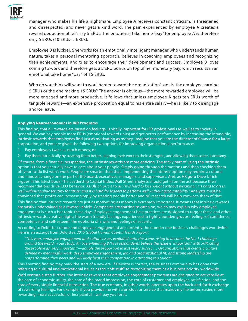

manager who makes his life a nightmare. Employee A receives constant criticism, is threatened and disrespected, and never gets a kind word. The pain experienced by employee A creates a reward deduction of let's say 5 ERUs. The emotional take home "pay" for employee A is therefore only 5 ERUs (10 ERUs–5 ERUs).

Employee B is luckier. She works for an emotionally intelligent manager who understands human nature, takes a personal mentoring approach, believes in coaching employees and recognizing their achievements, and tries to encourage their development and success. Employee B loves coming to work and therefore gets a 5 ERU bonus on top of her monetary pay, which results in an emotional take home "pay" of 15 ERUs.

Who do you think will want to work harder toward the organization's goals, the employee earning 5 ERUs or the one making 15 ERUs? The answer is obvious—the more rewarded employee will be more engaged and more productive. It follows that unless employee A gets ten ERUs worth of tangible rewards—an expensive proposition equal to his entire salary—he is likely to disengage and/or leave.

#### **Applying Neuroeconomics in IRR Programs**

This finding, that all rewards are based on feelings, is vitally important for IRR professionals as well as to society in general. We can pay people more ERUs (emotional reward units) and get better performance by increasing the intangible, intrinsic rewards that employees find just as motivating as money. Imagine that you are the director of finance for a large corporation, and you are given the following two options for improving organizational performance:

- 1. Pay employees twice as much money, or
- 2. Pay them intrinsically by treating them better, aligning their work to their strengths, and allowing them some autonomy.

Of course, from a financial perspective, the intrinsic rewards are more enticing. The tricky part of using the intrinsic option is that you actually have to care about your people. Simply going through the motions and then checking them off your to-do list won't work. People are smarter than that. Implementing the intrinsic option may require a cultural and mindset change on the part of the board, executives, managers, and supervisors. And, as HR guru Dave Ulrich argues in his latest book, The Leadership Capital Index, Wall Street analysts should get in on the act because their recommendations drive CEO behavior. As Ulrich put it to us: *"It is hard to lose weight without weighing; it is hard to dress well without public scrutiny for attire; and it is hard for leaders to perform well without accountability."* Analysts must be convinced that profits can increase simply by treating people better and NE research will help convince them of that.

This finding that intrinsic rewards are just as motivating as money is extremely important. It means that intrinsic rewards are vastly undervalued as a reward vehicle. Companies are starting to catch on, which may explain why employee engagement is such a hot topic these days. Employee engagement best practices are designed to trigger these and other intrinsic rewards: creative highs; the warm friendly feelings experienced in tightly bonded groups; feelings of confidence, competence, and self-esteem; the euphoria of a win; and feelings of security.

According to Deloitte, culture and employee engagement are currently the number one business challenges worldwide. Here is an excerpt from Deloitte's *2015 Global Human Capital Trends Report*:

*"This year, employee engagement and culture issues exploded onto the scene, rising to become the No. 1 challenge around the world in our study. An overwhelming 87% of respondents believe the issue is 'important,' with 50% citing the problem as 'very important'—double the proportion in last year's survey … Organizations that create a culture defined by meaningful work, deep employee engagement, job and organizational fit, and strong leadership are outperforming their peers and will likely beat their competition in attracting top talent."*

This amazing finding may mark the start of a new era. If Deloitte is correct, the business community has gone from referring to cultural and motivational issues as the "soft stuff" to recognizing them as a business priority worldwide.

We'd venture a step further: the intrinsic rewards that employee engagement programs are designed to activate lie at the core of economic utility, the core of the brand impression, the core of customer and employee satisfaction, and the core of every single financial transaction. The true economy, in other words, operates upon the back-and-forth exchange of rewarding feelings. For example, if you provide me with a product or service that makes my life better, easier, more rewarding, more successful, or less painful, I will pay you for it.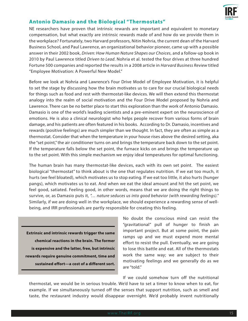

# **Antonio Damasio and the Biological "Thermostats"**

NE researchers have proven that intrinsic rewards are important and equivalent to monetary compensation, but what exactly are intrinsic rewards made of and how do we provide them in the workplace? Fortunately, two Harvard professors, Nitin Nohria, the current dean of the Harvard Business School, and Paul Lawrence, an organizational behavior pioneer, came up with a possible answer in their 2002 book, *Driven: How Human Nature Shapes our Choices*, and a follow-up book in 2010 by Paul Lawrence titled *Driven to Lead*. Nohria et al. tested the four drives at three hundred Fortune 500 companies and reported the results in a 2008 article in *Harvard Business Review* titled "Employee Motivation: A Powerful New Model."

Before we look at Nohria and Lawrence's Four Drive Model of Employee Motivation, it is helpful to set the stage by discussing how the brain motivates us to care for our crucial biological needs for things such as food and rest with thermostat-like devices. We will then extend this thermostat analogy into the realm of social motivation and the Four Drive Model proposed by Nohria and Lawrence. There can be no better place to start this exploration than the work of Antonio Damasio. Damasio is one of the world's leading scientists and a pre-eminent expert on the neuroscience of emotions. He is also a clinical neurologist who helps people recover from various forms of brain damage, and his patients are often featured in his books. According to Dr. Damasio, incentives and rewards (positive feelings) are much simpler than we thought. In fact, they are often as simple as a thermostat. Consider that when the temperature in your house rises above the desired setting, aka the "set point," the air conditioner turns on and brings the temperature back down to the set point. If the temperature falls below the set point, the furnace kicks on and brings the temperature up to the set point. With this simple mechanism we enjoy ideal temperatures for optimal functioning.

The human brain has many thermostat-like devices, each with its own set point. The easiest biological "thermostat" to think about is the one that regulates nutrition. If we eat too much, it hurts (we feel bloated), which motivates us to stop eating. If we eat too little, it also hurts (hunger pangs), which motivates us to eat. And when we eat the ideal amount and hit the set point, we feel good, satiated. Feeling good, in other words, means that we are doing the right things to survive, or, as Damasio puts it, *"… nature seduces us into good behavior (with rewarding feelings)."* Similarly, if we are doing well in the workplace, we should experience a rewarding sense of wellbeing, and IRR professionals are partly responsible for creating this feeling.

**Extrinsic and intrinsic rewards trigger the same chemical reactions in the brain. The former is expensive and the latter, free, but intrinsic rewards require genuine commitment, time and sustained effort—a cost of a different sort.** 

No doubt the conscious mind can resist the "gravitational" pull of hunger to finish an important project. But at some point, the pain ramps up and we must expend more mental effort to resist the pull. Eventually, we are going to lose this battle and eat. All of the thermostats work the same way; we are subject to their motivating feelings and we generally do as we are "told."

If we could somehow turn off the nutritional

thermostat, we would be in serious trouble. We'd have to set a timer to know when to eat, for example. If we simultaneously turned off the senses that support nutrition, such as smell and taste, the restaurant industry would disappear overnight. We'd probably invent nutritionally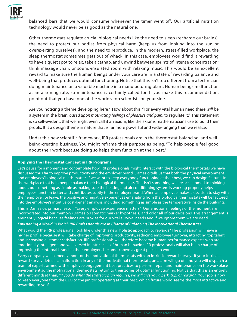

balanced bars that we would consume whenever the timer went off. Our artificial nutrition technology would never be as good as the natural one.

Other thermostats regulate crucial biological needs like the need to sleep (recharge our brains), the need to protect our bodies from physical harm (keep us from looking into the sun or overexerting ourselves), and the need to reproduce. In the modern, stress-filled workplace, the sleep thermostat sometimes gets out of whack. In this case, employees would find it rewarding to have a quiet spot to relax, take a catnap, and unwind between sprints of intense concentration; think massage chair, or sound-insulated room with relaxing music. This would be an excellent reward to make sure the human beings under your care are in a state of rewarding balance and well-being that produces optimal functioning. Notice that this isn't too different from a technician doing maintenance on a valuable machine in a manufacturing plant. Human beings malfunction at an alarming rate, so maintenance is certainly called for. If you make this recommendation, point out that you have one of the world's top scientists on your side.

Are you noticing a theme developing here? How about this, "For every vital human need there *will* be a system in the brain, *based upon motivating feelings of pleasure and pain*, to regulate it." This statement is so self-evident, that we might even call it an axiom, like the axioms mathematicians use to build their proofs. It is a design theme in nature that is far more powerful and wide-ranging than we realize.

Under this new scientific framework, IRR professionals are in the thermostat-balancing, and wellbeing-creating business. You might reframe their purpose as being, "To help people feel good about their work because doing so helps them function at their best."

#### **Applying the Thermostat Concept in IRR Programs**

Let's pause for a moment and contemplate how IRR professionals might interact with the biological thermostats we have discussed thus far to improve productivity and the employer brand. Damasio tells us that both the physical environment and employees' biological needs matter. If we want to keep everybody functioning at their best, we can design features in the workplace that help people balance their biological thermostats. This isn't something we are accustomed to thinking about, but something as simple as making sure the heating and air conditioning system is working properly helps employees function better and contributes subtly to the employer brand. When an employee makes a decision to stay with their employer, or leave, the positive and negative experiences emanating from the biological thermostats will be factored into the employee's intuitive cost-benefit analysis, including something as simple as the temperature inside the building.

This is Damasio's primary lesson: "Every employee experience matters." Our emotional feelings of the moment are incorporated into our memory (Damasio's somatic marker hypothesis) and color all of our decisions. This arrangement is eminently logical because feelings are proxies for our vital survival needs and if we ignore them we are dead.

#### *Envisioning a World in Which IRR Professionals are in Charge of Balancing The Motivational Thermostats*

What would the IRR professional look like under this new, holistic approach to rewards? The profession will have a higher profile because it will take charge of improving productivity, reducing employee turnover, attracting top talent, and increasing customer satisfaction. IRR professionals will therefore become human performance experts who are emotionally intelligent and well versed in intricacies of human behavior. IRR professionals will also be in charge of improving the internal brand so their employers become known as great places to work.

Every company will someday monitor the motivational thermostats with an intrinsic-reward survey. If your intrinsicreward survey detects a malfunction in any of the motivational thermostats, an alarm will go off and you will dispatch a team of experts armed with employee engagement best practices to perform repair and maintenance on the workplace environment so the motivational thermostats return to their zones of optimal functioning. Notice that this is an entirely different mindset than, *"If you do what the strategic plan requires, we will give you a perk, trip, or reward."* Your job is now to keep everyone from the CEO to the janitor operating at their best. Which future world seems the most attractive and rewarding to you?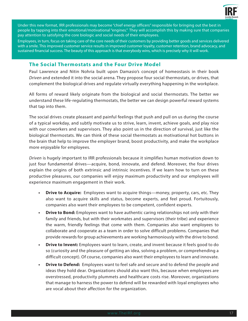

Under this new format, IRR professionals may become "chief energy officers" responsible for bringing out the best in people by tapping into their emotional/motivational "engines." They will accomplish this by making sure that companies pay attention to satisfying the core biologic and social needs of their employees.

Employees, in turn, focus on taking care of the core needs of their customers by providing better goods and services delivered with a smile. This improved customer service results in improved customer loyalty, customer retention, brand advocacy, and sustained financial success. The beauty of this approach is that everybody wins, which is precisely why it will work.

# **The Social Thermostats and the Four Drive Model**

Paul Lawrence and Nitin Nohria built upon Damasio's concept of homeostasis in their book *Driven* and extended it into the social arena. They propose four social thermostats, or drives, that complement the biological drives and regulate virtually everything happening in the workplace.

All forms of reward likely originate from the biological and social thermostats. The better we understand these life-regulating thermostats, the better we can design powerful reward systems that tap into them.

The social drives create pleasant and painful feelings that push and pull on us during the course of a typical workday, and subtly motivate us to strive, learn, invent, achieve goals, and play nice with our coworkers and supervisors. They also point us in the direction of survival, just like the biological thermostats. We can think of these social thermostats as motivational hot buttons in the brain that help to improve the employer brand, boost productivity, and make the workplace more enjoyable for employees.

*Driven* is hugely important to IRR professionals because it simplifies human motivation down to just four fundamental drives—acquire, bond, innovate, and defend. Moreover, the four drives explain the origins of both extrinsic and intrinsic incentives. If we learn how to turn on these productive pleasures, our companies will enjoy maximum productivity and our employees will experience maximum engagement in their work.

- **• Drive to Acquire:** Employees want to acquire things—money, property, cars, etc. They also want to acquire skills and status, become experts, and feel proud. Fortuitously, companies also want their employees to be competent, confident experts.
- **• Drive to Bond:** Employees want to have authentic caring relationships not only with their family and friends, but with their workmates and supervisors (their tribe) and experience the warm, friendly feelings that come with them. Companies also want employees to collaborate and cooperate as a team in order to solve difficult problems. Companies that provide rewards for group achievements are working harmoniously with the drive to bond.
- **• Drive to Invent:** Employees want to learn, create, and invent because it feels good to do so (curiosity and the pleasure of getting an idea, solving a problem, or comprehending a difficult concept). Of course, companies also want their employees to learn and innovate.
- **• Drive to Defend:** Employees want to feel safe and secure and to defend the people and ideas they hold dear. Organizations should also want this, because when employees are overstressed, productivity plummets and healthcare costs rise. Moreover, organizations that manage to harness the power to defend will be rewarded with loyal employees who are vocal about their affection for the organization.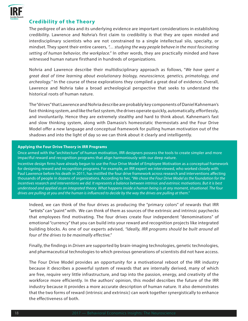

# **Credibility of the Theory**

The pedigree of an idea and its underlying evidence are important considerations in establishing credibility. Lawrence and Nohria's first claim to credibility is that they are open minded and interdisciplinary scientists who are not constrained to a single intellectual silo, specialty, or mindset. They spent their entire careers, *"… studying the way people behave in the most fascinating setting of human behavior, the workplace."* In other words, they are practically minded and have witnessed human nature firsthand in hundreds of organizations.

Nohria and Lawrence describe their multidisciplinary approach as follows, "*We have spent a great deal of time learning about evolutionary biology, neuroscience, genetics, primatology, and archeology.*" In the course of these explorations they compiled a great deal of evidence. Overall, Lawrence and Nohria take a broad archeological perspective that seeks to understand the historical roots of human nature.

The "drives" that Lawrence and Nohria describe are probably key components of Daniel Kahneman's fast-thinking system, and like the fast system, the drives operate quickly, automatically, effortlessly, and involuntarily. Hence they are extremely stealthy and hard to think about. Kahneman's fast and slow thinking system, along with Damasio's homeostatic thermostats and the Four Drive Model offer a new language and conceptual framework for pulling human motivation out of the shadows and into the light of day so we can think about it clearly and intelligently.

#### **Applying the Four Drive Theory in IRR Programs**

Once armed with the "architecture" of human motivation, IRR designers possess the tools to create simpler and more impactful reward and recognition programs that align harmoniously with our deep nature.

Incentive design firms have already begun to use the Four Drive Model of Employee Motivation as a conceptual framework for designing reward and recognition programs. For example, an IRR expert we interviewed, who worked closely with Paul Lawrence before his death in 2011, has instilled the four drive framework across research and interventions affecting thousands of people in dozens of organizations. According to her, *"We chose the Four Drive Model as the foundation for the incentives research and interventions we did. It represents a balance between intrinsic and extrinsic motivations. But it is best understood and applied as an integrated theory. What happens inside a human being is at any moment, situational. The four drives are pulling at you and the human is influenced to decide by the way the drives are pulling at them."*

Indeed, we can think of the four drives as producing the "primary colors" of rewards that IRR "artists" can "paint" with. We can think of them as sources of the extrinsic and intrinsic paychecks that employees find motivating. The four drives create four independent "denominations" of emotional "currency" that you can build into your reward and recognition projects like integrated building blocks. As one of our experts advised, *"Ideally, IRR programs should be built around all four of the drives to be maximally effective."*

Finally, the findings in *Driven* are supported by brain-imaging technologies, genetic technologies, and pharmaceutical technologies to which previous generations of scientists did not have access.

The Four Drive Model provides an opportunity for a motivational reboot of the IRR industry because it describes a powerful system of rewards that are internally derived, many of which are free, require very little infrastructure, and tap into the passion, energy, and creativity of the workforce more efficiently. In the authors' opinion, this model describes the future of the IRR industry because it provides a more accurate description of human nature. It also demonstrates that the two forms of reward (intrinsic and extrinsic) can work together synergistically to enhance the effectiveness of both.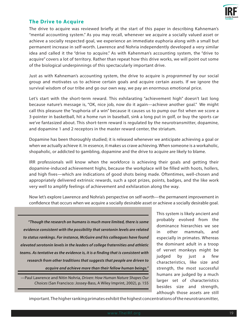

# **The Drive to Acquire**

The drive to acquire was reviewed briefly at the start of this paper in describing Kahneman's "mental accounting system." As you may recall, whenever we acquire a socially valued asset or achieve a socially respected goal, we experience an immediate euphoria along with a small but permanent increase in self-worth. Lawrence and Nohria independently developed a very similar idea and called it the "drive to acquire." As with Kahenman's accounting system, the "drive to acquire" covers a lot of territory. Rather than repeat how this drive works, we will point out some of the biological underpinnings of this spectacularly important drive.

Just as with Kahneman's accounting system, the drive to acquire is *programmed* by our social group and motivates us to achieve certain goals and acquire certain assets. If we ignore the survival wisdom of our tribe and go our own way, we pay an enormous emotional price.

Let's start with the short-term reward. This exhilarating "achievement high" doesn't last long because nature's message is, "OK, nice job, now do it again—achieve another goal." We might call this pleasure the "euphoria of a win" because it causes us to pump our fist when we score a 3-pointer in basketball, hit a home run in baseball, sink a long put in golf, or buy the sports car we've fantasized about. This short-term reward is regulated by the neurotransmitter, dopamine, and dopamine 1 and 2 receptors in the master reward center, the striatum.

Dopamine has been thoroughly studied; it is released whenever we anticipate achieving a goal or when we actually achieve it. In essence, it makes us crave achieving. When someone is a workaholic, shopaholic, or addicted to gambling, dopamine and the drive to acquire are likely to blame.

IRR professionals will know when the workforce is achieving their goals and getting their dopamine-induced achievement highs, because the workplace will be filled with hoots, hollers, and high fives—which are indications of good shots being made. Oftentimes, well-chosen and appropriately delivered extrinsic rewards, such a spot prizes, points, badges, and the like work very well to amplify feelings of achievement and exhilaration along the way.

Now let's explore Lawrence and Nohria's perspective on self-worth—the permanent improvement in confidence that occurs when we acquire a socially desirable asset or achieve a socially desirable goal.

 *"Though the research on humans is much more limited, there is some evidence consistent with the possibility that serotonin levels are related to status rankings. For instance, McGuire and his colleagues have found elevated serotonin levels in the leaders of college fraternities and athletic teams. As tentative as the evidence is, it is a finding that is consistent with research from other traditions that suggests that people are driven to acquire and achieve more than their fellow human beings."* 

—Paul Lawrence and Nitin Nohria, *Driven: How Human Nature Shapes Our Choices* (San Francisco: Jossey-Bass, A Wiley Imprint, 2002), p. 155

This system is likely ancient and probably evolved from the dominance hierarchies we see in other mammals, and especially in primates. Whereas the dominant adult in a troop of vervet monkeys might be judged by just a few characteristics, like size and strength, the most successful humans are judged by a much larger set of characteristics besides size and strength, although those assets are still

important. The higher ranking primates exhibit the highest concentrations of the neurotransmitter,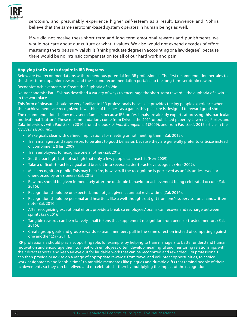

serotonin, and presumably experience higher self-esteem as a result. Lawrence and Nohria believe that the same serotonin-based system operates in human beings as well.

If we did not receive these short-term and long-term emotional rewards and punishments, we would not care about our culture or what it values. We also would not expend decades of effort mastering the tribe's survival skills (think graduate degree in accounting or a law degree), because there would be no intrinsic compensation for all of our hard work and pain.

#### **Applying the Drive to Acquire in IRR Programs**

Below are two recommendations with tremendous potential for IRR professionals. The first recommendation pertains to the short-term dopamine reward, and the second recommendation pertains to the long-term serotonin reward.

Recognize Achievements to Create the Euphoria of a Win

Neuroeconomist Paul Zak has described a variety of ways to encourage the short-term reward—the euphoria of a win in the workplace.

This form of pleasure should be very familiar to IRR professionals because it provides the joy people experience when their achievements are recognized. If we think of business as a game, this pleasure is designed to reward good shots.

The recommendations below may seem familiar, because IRR professionals are already experts at pressing this, particular motivational "button." These recommendations come from Driven; the 2011 unpublished paper by Lawrence, Porter, and Zak; interviews with Paul Zak in 2016; from the book, *Primal Management* (2009), and from Paul Zak's 2015 article in the *Ivy Business Journal:*

- Make goals clear with defined implications for meeting or not meeting them (Zak 2015).
- Train managers and supervisors to be alert to good behavior, because they are generally prefer to criticize instead of compliment. (Herr 2009).
- Train employees to recognize one another (Zak 2015).
- Set the bar high, but not so high that only a few people can reach it (Herr 2009).
- Take a difficult-to-achieve goal and break it into several easier-to-achieve subgoals (Herr 2009).
- Make recognition public. This may backfire, however, if the recognition is perceived as unfair, undeserved, or unendorsed by one's peers (Zak 2015).
- Rewards should be given immediately after the desirable behavior or achievement being celebrated occurs (Zak 2016).
- Recognition should be unexpected, and not just given at annual review time (Zak 2016).
- Recognition should be personal and heartfelt, like a well-thought-out gift from one's supervisor or a handwritten note (Zak 2016).
- After recognizing exceptional effort, provide a break so employees' brains can recover and recharge between sprints (Zak 2016).
- Tangible rewards can be relatively small tokens that supplement recognition from peers or trusted mentors (Zak 2016).
- Create group goals and group rewards so team members pull in the same direction instead of competing against one another (Zak 2011).

IRR professionals should play a supporting role, for example, by helping to train managers to better understand human motivation and encourage them to meet with employees often, develop meaningful and mentoring relationships with their direct reports, and keep an eye out for laudable work that can be recognized and rewarded. IRR professionals can then provide or advise on a range of appropriate rewards: from travel and volunteer opportunities, to choice work-assignments and "dabble time," to tangible mementos like plaques and durable gifts that remind people of their achievements so they can be relived and re-celebrated—thereby multiplying the impact of the recognition.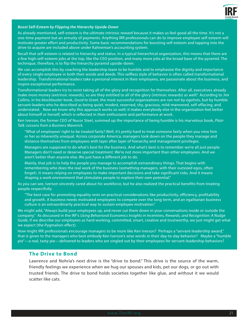

#### *Boost Self-Esteem by Flipping the Hierarchy Upside-Down*

As already mentioned, self-esteem is the ultimate intrinsic reward because it makes us feel good all the time. It's not a one-time payment but an annuity of payments. Anything IRR professionals can do to improve employee self-esteem will motivate greater effort and productivity. Some basic recommendations for boosting self-esteem and tapping into the drive to acquire are included above under Kahneman's accounting system.

Recall that self-esteem is related to hierarchy and status. In a typical hierarchical organization, this means that there are a few high-self-esteem jobs at the top, like the CEO position, and many more jobs at the broad base of the pyramid. The technique, therefore, is to flip the hierarchy pyramid upside-down.

We can accomplish this by coaching the leadership team to be humble and to emphasize the dignity and importance of every single employee in both their words and deeds. This selfless style of behavior is often called transformational leadership. Transformational leaders take a personal interest in their employees, are passionate about the business, and inspire exceptional performance.

Transformational leaders try to resist taking all of the glory and recognition for themselves. After all, executives already make more money (extrinsic rewards), so are they entitled to all of the glory (intrinsic rewards) as well? According to Jim Collins, in his blockbuster book, *Good to Great*, the most successful organizations are run not by egotists, but by humble servant-leaders who he described as being quiet, modest, reserved, shy, gracious, mild-mannered, self-effacing, and understated. Now we know why this approach works so well; it makes everybody else in the organization feel better about himself or herself, which is reflected in their enthusiasm and performance at work.

Ken Iverson, the former CEO of Nucor Steel, summed up the importance of being humble is his marvelous book, *Plain Talk: Lessons from a Business Maverick.*

"What of employees' right to be treated fairly? Well, it's pretty hard to treat someone fairly when you view him or her as inherently unequal. Across corporate America, managers look down on the people they manage and distance themselves from employees with layer after layer of hierarchy and management privileges.

Managers are supposed to do what's best for the business. And what's best is to remember we're all just people. Managers don't need or deserve special treatment. We're not more important than other employees. And we aren't better than anyone else. We just have a different job to do.

Mainly, that job is to help the people you manage to accomplish extraordinary things. That begins with remembering who does the real work of the business (something managers, with their outsized egos, often forget). It means relying on employees to make important decisions and take significant risks. And it means shaping a work environment that stimulates people to explore their own potential."

As you can see, Iverson sincerely cared about his workforce, but he also realized the practical benefits from treating people respectfully.

"The best case for promoting equality rests on practical considerations like productivity, efficiency, profitability and growth. A business needs motivated employees to compete over the long term, and an egalitarian business culture is an extraordinarily practical way to sustain employee motivation."

We might add, "Always build your employees up, and never cut them down in your conversations inside or outside the company." As discussed in the IRF's *Using Behavioral Economics Insights in Incentives, Rewards, and Recognition: A Nudge Guide*, if we describe our employees as hard working, committed, smart, creative and trustworthy, we just might get what we expect (the Pygmalion effect).

How might IRR professionals encourage managers to be more like Ken Iverson? Perhaps a "servant-leadership award," that is given to the managers who best embody Ken Iverson's wise words in their day-to-day behavior? Maybe a "humble pie"—a real, tasty pie—delivered to leaders who are singled out by their employees for servant-leadership behaviors?

#### **The Drive to Bond**

Lawrence and Nohria's next drive is the "drive to bond." This drive is the source of the warm, friendly feelings we experience when we hug our spouses and kids, pet our dogs, or go out with trusted friends. The drive to bond holds societies together like glue, and without it we would scatter like cats.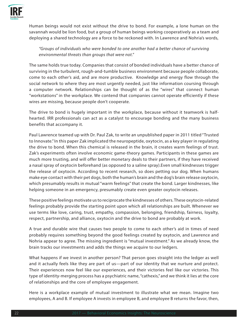

Human beings would not exist without the drive to bond. For example, a lone human on the savannah would be lion food, but a group of human beings working cooperatively as a team and deploying a shared technology are a force to be reckoned with. In Lawrence and Nohria's words,

*"Groups of individuals who were bonded to one another had a better chance of surviving environmental threats than groups that were not."* 

The same holds true today. Companies that consist of bonded individuals have a better chance of surviving in the turbulent, rough-and-tumble business environment because people collaborate, come to each other's aid, and are more productive. Knowledge and energy flow through the social network to where they are most urgently needed, just like information coursing through a computer network. Relationships can be thought of as the "wires" that connect human "workstations" in the workplace. We contend that companies cannot operate efficiently if these wires are missing, because people don't cooperate.

The drive to bond is hugely important in the workplace, because without it teamwork is halfhearted. IRR professionals can act as a catalyst to encourage bonding and the many business benefits that accompany it.

Paul Lawrence teamed up with Dr. Paul Zak, to write an unpublished paper in 2011 titled "Trusted to Innovate." In this paper Zak implicated the neuropeptide, oxytocin, as a key player in regulating the drive to bond. When this chemical is released in the brain, it creates warm feelings of trust. Zak's experiments often involve economic game-theory games. Participants in these games are much more trusting, and will offer better monetary deals to their partners, if they have received a nasal spray of oxytocin beforehand (as opposed to a saline spray).Even small kindnesses trigger the release of oxytocin. According to recent research, so does petting our dog. When humans make eye contact with their pet dogs, both the human's brain and the dog's brain release oxytocin, which presumably results in mutual "warm feelings" that create the bond. Larger kindnesses, like helping someone in an emergency, presumably create even greater oxytocin releases.

These positive feelings motivate us to reciprocate the kindnesses of others. These oxytocin-related feelings probably provide the starting point upon which all relationships are built. Whenever we use terms like love, caring, trust, empathy, compassion, belonging, friendship, fairness, loyalty, respect, partnership, and alliance, oxytocin and the drive to bond are probably at work.

A true and durable wire that causes two people to come to each other's aid in times of need probably requires something beyond the good feelings created by oxytocin, and Lawrence and Nohria appear to agree. The missing ingredient is "mutual investment." As we already know, the brain tracks our investments and adds the things we acquire to our ledgers.

What happens if we invest in another person? That person goes straight into the ledger as well and it actually feels like they are part of us—part of our identity that we nurture and protect. Their experiences now feel like our experiences, and their victories feel like our victories. This type of identity-merging process has a psychiatric name, "cathexis," and we think it lies at the core of relationships and the core of employee engagement.

Here is a workplace example of mutual investment to illustrate what we mean. Imagine two employees, A and B. If employee A invests in employee B, and employee B returns the favor, then,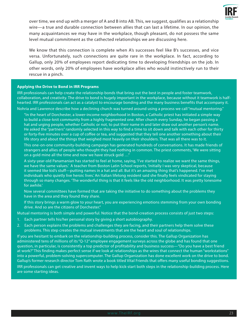

over time, we end up with a merger of A and B into AB. This, we suggest, qualifies as a relationship wire—a true and durable connection between allies that can last a lifetime. In our opinion, the many acquaintances we may have in the workplace, though pleasant, do not possess the same level mutual commitment as the cathected relationships we are discussing here.

We know that this connection is complete when A's successes feel like B's successes, and vice versa. Unfortunately, such connections are quite rare in the workplace. In fact, according to Gallup, only 20% of employees report dedicating time to developing friendships on the job. In other words, only 20% of employees have workplace allies who would instinctively run to their rescue in a pinch.

#### **Applying the Drive to Bond in IRR Programs**

IRR professionals can help create the relationship bonds that bring out the best in people and foster teamwork, collaboration, and creativity. The drive to bond is hugely important in the workplace, because without it teamwork is halfhearted. IRR professionals can act as a catalyst to encourage bonding and the many business benefits that accompany it. Nohria and Lawrence describe how a declining church was turned around using a process we call "mutual mentoring."

"In the heart of Dorchester, a lower-income neighborhood in Boston, a Catholic priest has initiated a simple way to build a close-knit community from a highly fragmented one. After church every Sunday, he began passing a hat and urging people, whether Catholic or not, to put their name in and later draw out another person's name. He asked the "partners" randomly selected in this way to find a time to sit down and talk with each other for thirty or forty-five minutes over a cup of coffee or tea, and suggested that they tell one another something about their life story and about the things that weighed most heavily on their shoulders. That was all there was to it.

This one-on-one community-building campaign has generated hundreds of conversations. It has made friends of strangers and allies of people who thought they had nothing in common. The priest comments, 'We were sitting on a gold mine all the time and now we have struck gold …"

A sixty-year-old Panamanian has started to feel at home, saying, 'I've started to realize we want the same things, we have the same values.' A teacher from Boston Latin School reports, 'Initially I was very skeptical, because it seemed like kid's stuff—putting names in a hat and all. But it's an amazing thing that's happened. I've met individuals who quietly live heroic lives.' An Italian lifelong resident said she finally feels vindicated for staying through so many changes. 'The wonderful thing is that it feels like the old neighborhood. It was pretty lonesome for awhile.'

Now several committees have formed that are taking the initiative to do something about the problems they have in the area and they found they share.

If this story brings a warm glow to your heart, you are experiencing emotions stemming from your own bonding drive. And so are the citizens of Dorchester."

Mutual mentoring is both simple and powerful. Notice that the bond-creation process consists of just two steps:

- 1. Each partner tells his/her personal story by giving a short autobiography.
- 2. Each person explains the problems and challenges they are facing, and their partners help them solve these problems. This step creates the mutual investments that are the heart and soul of relationships.

If you are hesitant to embark on the relationship-building process, consider this. The Gallup Organization has administered tens of millions of its "Q-12" employee engagement surveys across the globe and has found that one question, in particular, is consistently a top predictor of profitability and business success—"Do you have a best friend at work?" This finding makes perfect sense if we look at relationships as the wires that connect the human "workstations" into a powerful, problem-solving supercomputer. The Gallup Organization has done excellent work on the drive to bond. Gallup's former research director Tom Rath wrote a book titled Vital Friends that offers many useful bonding suggestions. IRR professionals can get creative and invent ways to help kick-start both steps in the relationship-building process. Here are some starting ideas.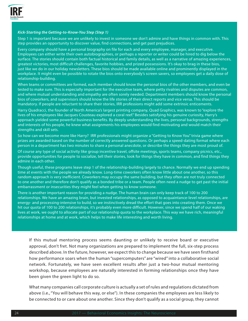

#### *Kick-Starting the Getting-to-Know-You Step (Step 1)*

Step 1 is important because we are unlikely to invest in someone we don't admire and have things in common with. This step provides an opportunity to discover value, find connections, and get past prejudices.

Every company should have a personal biography on file for each and every employee, manager, and executive. Employees can either write their own autobiographies, or perhaps a reporter or writer could be hired to dig below the surface. The stories should contain both factual historical and family details, as well as a narrative of amazing experiences, greatest victories, most difficult challenges, favorite hobbies, and prized possessions. It's okay to brag in these bios, just like we do in our holiday newsletters. These bios should be made available online and prominently displayed in the workplace. It might even be possible to rotate the bios onto everybody's screen savers, so employees get a daily dose of relationship-building.

When teams or committees are formed, each member should know the personal bios of the other members, and even be tested to make sure. This is especially important for the executive team, where petty rivalries and disputes are common, and where mutual understanding and empathy are often sorely needed. Department members should know the personal bios of coworkers, and supervisors should know the life stories of their direct reports and vice versa. This should be mandatory. If people are reluctant to share their stories, IRR professions might add some extrinsic enticements.

Harry Quadracci, the founder of North America's largest printing company, Quad Graphics, was known to "explore the lives of his employees like Jacques Cousteau explored a coral reef." Besides satisfying his genuine curiosity, Harry's approach yielded some powerful business benefits. By deeply understanding the lives, personal backgrounds, strengths and interests of his people, he knew what assignments his employees would find motivating and would match their strengths and skill sets.

So how can we become more like Harry? IRR professionals might organize a "Getting to Know You" trivia game where prizes are awarded based on the number of correctly answered questions. Or perhaps a speed-dating format where each person in a department has two minutes to share a personal anecdote, or describe the things they are most proud of.

Of course any type of social activity like group incentive travel, offsite meetings, sports teams, company picnics, etc., provide opportunities for people to socialize, tell their stories, look for things they have in common, and find things they admire in each other.

Though useful, these programs leave step 1 of the relationship-building largely to chance. Normally we end up spending time at events with the people we already know. Long-time coworkers often know little about one another, so this random approach is very inefficient. Coworkers may occupy the same building, but they often are not truly connected to one another and therefore don't qualify as a bonded tribe or a team. People often need a nudge to get past the initial embarrassment or insecurities they might feel when getting to know someone.

There is another important reason for providing a nudge. The human brain can only keep track of 100 to 200 relationships. We have an amazing brain, but invested relationships, as opposed to acquaintance-level relationships, are energy- and processing-intensive to build, so we instinctively dread the effort that goes into creating them. Once we hit our quota of 100 to 200 relationships, it's probably even more difficult. However, since we spend half of our waking lives at work, we ought to allocate part of our relationship quota to the workplace. This way we have rich, meaningful relationships at home and at work, which helps to make life interesting and worth living.

If this mutual mentoring process seems daunting or unlikely to receive board or executive approval, don't fret. Not many organizations are prepared to implement the full, six-step process described above. In the future, however, we expect this to change because we have seen firsthand how performance soars when the human "supercomputers" are "wired" into a collaborative social network. Fortunately, we have seen excellent results after just a two-hour mutual mentoring workshop, because employees are naturally interested in forming relationships once they have been given the green light to do so.

What many companies call corporate culture is actually a set of rules and regulations dictated from above (i.e., "You will behave this way, or else"). In these companies the employees are less likely to be connected to or care about one another. Since they don't qualify as a social group, they cannot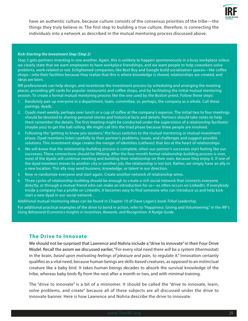

have an authentic culture, because culture consists of the consensus priorities of the tribe—the things they truly believe in. The first step to building a true culture, therefore, is connecting the individuals into a network as described in the mutual mentoring process discussed above.

#### *Kick-Starting the Investment Step (Step 2)*

Step 2 gets partners investing in one another. Again, this is unlikely to happen spontaneously in a busy workplace unless we clearly state that we want employees to have workplace friendships, and we want people to help coworkers solve problems, work-related or not. Enlightened companies, like Best Buy and Google build socialization spaces—like coffee shops—into their facilities because they realize that this is where knowledge is shared, relationships are created, and ideas are born.

IRR professionals can help design, and incentivize the investment process by scheduling and arranging the meeting places, providing gift cards for popular restaurants and coffee shops, and by facilitating the initial mutual mentoring session. To create a formal mutual mentoring process like the one used by the Boston priest. Follow these steps:

- 1. Randomly pair up everyone in a department, team, committee, or, perhaps, the company as a whole. Call these pairings, dyads.
- 2. Dyads meet weekly, perhaps over lunch or a cup of coffee at the company's expense. The initial two to four meetings should be devoted to sharing personal stories and historical facts and details. Partners should take notes to help them remember the details. The first meeting might be conducted under the supervision of a relationship facilitator (maybe you) to get the ball rolling. We might call this the triad phase because three people are involved.
- 3. Following the "getting to know you sessions," the focus switches to the mutual mentoring or mutual investment phase. Dyad members listen carefully to their partner's problems, issues, and challenges and suggest possible solutions. This investment stage creates the merger of identities (cathexis) that lies at the heart of relationships.
- 4. We will know that the relationship-building process is complete, when our partner's successes start feeling like our successes. These connections should be lifelong. After the four-month formal relationship-building process is over, most of the dyads will continue meeting and building their relationship on their own, because they enjoy it. If one of the dyad members moves to another city or another job, the relationship is not lost. Rather, we simply have an ally in a new location. This ally may send business, knowledge, or talent in our direction.
- 5. Now re-randomize everyone and start again. Create another network of relationship wires.
- 6. Three cycles of relationship-building should be enough to create a rich social network that connects everyone directly, or through a mutual friend who can make an introduction for us—as often occurs on LinkedIn. If everybody inside a company has a profile on LinkedIn, it becomes easy to find someone who can introduce us and help kickstart a new dyad in our social network.

Additional mutual mentoring ideas can be found in Chapter 10 of Dave Logan's book *Tribal Leadership*.

For additional practical examples of the drive to bond in action, refer to "Happiness: Giving and Volunteering," in the IRF's *Using Behavioral Economics Insights in Incentives, Rewards, and Recognition: A Nudge Guide*.

# **The Drive to Innovate**

We should not be surprised that Lawrence and Nohria include a "drive to innovate" in their Four Drive Model. Recall the axiom we discussed earlier, "For every vital need there *will* be a system (thermostat) in the brain, *based upon motivating feelings of pleasure and pain*, to regulate it." Innovation certainly qualifies as a vital need, because human beings are skills-based creatures, as opposed to an instinctual creature like a baby bird. It takes human beings decades to absorb the survival knowledge of the tribe, whereas baby birds fly from the nest after a month or two, and with minimal training.

The "drive to innovate" is a bit of a misnomer. It should be called the "drive to innovate, learn, solve problems, and create" because all of these subjects are all discussed under the drive to innovate banner. Here is how Lawrence and Nohria describe the drive to innovate: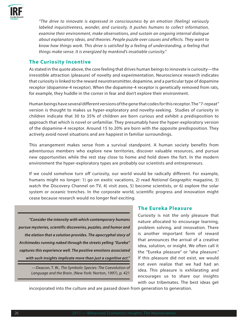

*"The drive to innovate is expressed in consciousness by an emotion (feeling) variously labeled inquisitiveness, wonder, and curiosity. It pushes humans to collect information, examine their environment, make observations, and sustain an ongoing internal dialogue about explanatory ideas, and theories. People puzzle over causes and effects. They want to know how things work. This drive is satisfied by a feeling of understanding, a feeling that things make sense. It is energized by mankind's insatiable curiosity."*

# **The Curiosity Incentive**

As stated in the quote above, the core feeling that drives human beings to innovate is curiosity—the irresistible attraction (pleasure) of novelty and experimentation. Neuroscience research indicates that curiosity is linked to the reward neurotransmitter, dopamine, and a particular type of dopamine receptor (dopamine-4 receptor). When the dopamine-4 receptor is genetically removed from rats, for example, they huddle in the corner in fear and don't explore their environment.

Human beings have several different versions of the gene that codes for this receptor. The "7-repeat" version is thought to makes us hyper-exploratory and novelty-seeking. Studies of curiosity in children indicate that 30 to 35% of children are born curious and exhibit a predisposition to approach that which is novel or unfamiliar. They presumably have the hyper-exploratory version of the dopamine-4 receptor. Around 15 to 20% are born with the opposite predisposition. They actively avoid novel situations and are happiest in familiar surroundings.

This arrangement makes sense from a survival standpoint. A human society benefits from adventurous members who explore new territories, discover valuable resources, and pursue new opportunities while the rest stay close to home and hold down the fort. In the modern environment the hyper-exploratory types are probably our scientists and entrepreneurs.

If we could somehow turn off curiosity, our world would be radically different. For example, humans might no longer: 1) go on exotic vacations, 2) read *National Geographic* magazine, 3) watch the Discovery Channel on TV, 4) visit zoos, 5) become scientists, or 6) explore the solar system or oceanic trenches. In the corporate world, scientific progress and innovation might cease because research would no longer feel exciting.

*"Consider the intensity with which contemporary humans pursue mysteries, scientific discoveries, puzzles, and humor and the elation that a solution provides. The apocryphal story of Archimedes running naked through the streets yelling "Eureka" captures this experience well. The positive emotions associated with such insights implicate more than just a cognitive act."* 

> —Deacon, T. W., *The Symbolic Species: The Coevolution of Language and the Brain*, (New York: Norton, 1997), p. 421

# **The Eureka Pleasure**

Curiosity is not the only pleasure that nature allocated to encourage learning, problem solving, and innovation. There is another important form of reward that announces the arrival of a creative idea, solution, or insight. We often call it the "Eureka pleasure" or "aha pleasure." If this pleasure did not exist, we would not even realize that we had had an idea. This pleasure is exhilarating and encourages us to share our insights with our tribemates. The best ideas get

incorporated into the culture and are passed down from generation to generation.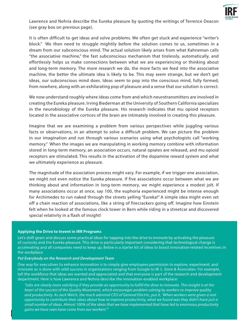

Lawrence and Nohria describe the Eureka pleasure by quoting the writings of Terrence Deacon (see gray box on previous page).

It is often difficult to get ideas and solve problems. We often get stuck and experience "writer's block." We then need to struggle mightily before the solution comes to us, sometimes in a dream from our subconscious mind. The actual solution likely arises from what Kahneman calls "the associative machine," the fast subconscious mechanism that tirelessly, automatically, and effortlessly helps us make connections between what we are experiencing or thinking about and long-term memory. The more research we do, the more facts we feed into the associative machine, the better the ultimate idea is likely to be. This may seem strange, but *we* don't get ideas, our subconscious mind does. Ideas seem to pop into the conscious mind, fully formed, from nowhere, along with an exhilarating pop of pleasure and a sense that our solution is correct.

We now understand roughly where ideas come from and which neurotransmitters are involved in creating the Eureka pleasure. Irving Biederman at the University of Southern California specializes in the neurobiology of the Eureka pleasure. His research indicates that mu opioid receptors located in the associative cortices of the brain are intimately involved in creating this pleasure.

Imagine that we are examining a problem from various perspectives while juggling various facts or observations, in an attempt to solve a difficult problem. We can picture the problem in our imagination and run through various scenarios using what psychologists call "working memory." When the images we are manipulating in working memory combine with information stored in long-term memory, an association occurs, natural opiates are released, and mu opioid receptors are stimulated. This results in the activation of the dopamine reward system and what we ultimately experience as pleasure.

The magnitude of the association process might vary. For example, if we trigger one association, we might not even notice the Eureka pleasure. If five associations occur between what we are thinking about and information in long-term memory, we might experience a modest jolt. If many associations occur at once, say 100, the euphoria experienced might be intense enough for Archimedes to run naked through the streets yelling "Eureka!" A simple idea might even set off a chain reaction of associations, like a string of firecrackers going off. Imagine how Einstein felt when he looked at the famous clock tower in Bern while riding in a streetcar and discovered special relativity in a flash of insight!

#### **Applying the Drive to Invent in IRR Programs**

Let's shift gears and discuss some practical ideas for tapping into the *drive to innovate* by activating the pleasure of curiosity and the Eureka pleasure. This drive is particularly important considering that technological change is accelerating and all companies need to keep up. Below is a starter kit of ideas to boost innovation-related incentives in the workplace.

#### *Put Everybody on the Research and Development Team*

One way for executives to enhance innovation is to simply give employees permission to explore, experiment, and innovate as is done with wild success in organizations ranging from Google to W. L. Gore & Associates. For example, tell the workforce that ideas are wanted and appreciated and that everyone is part of the research and development department. Here is how Lawrence and Nohria describe the innovation-enabled workplace:

*"Jobs are clearly more satisfying if they provide an opportunity to fulfill the drive to innovate. This insight is at the heart of the success of the Quality Movement, which encourages problem solving by workers to improve quality and productivity. As Jack Welch, the much admired CEO of General Electric, put it, 'When workers were given a real opportunity to contribute their ideas about how to improve productivity, what we found was they didn't have just a small number of ideas. Almost 100% of the ideas that we have implemented that have led to enormous productivity gains we have seen have come from our workers.'"*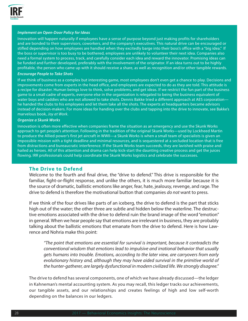

#### *Implement an Open-Door Policy for Ideas*

Innovation will happen naturally if employees have a sense of purpose beyond just making profits for shareholders and are bonded to their supervisors, coworkers, and the company's executives. This natural drive can be encouraged or stifled depending on how employees are handled when they excitedly barge into their boss's office with a "big idea." If the boss or supervisor is too busy to be bothered, employees are unlikely to volunteer their next idea. Companies also need a formal system to process, track, and carefully consider each idea and reward the innovator. Promising ideas can be funded and further developed, preferably with the involvement of the originator. If an idea turns out to be highly profitable, the person who came up with it should receive a share, as well as recognition and/or other tangible rewards.

#### *Encourage People to Take Shots*

If we think of business as a complex but interesting game, most employees don't even get a chance to play. Decisions and improvements come from experts in the head office, and employees are expected to do as they are told. This attitude is a recipe for disaster. Human beings love to think, solve problems, and get ideas. If we restrict the fun part of the business game to a small cadre of experts, everyone else in the organization is relegated to being the business equivalent of water boys and caddies who are not allowed to take shots. Dennis Bakke tried a different approach at AES corporation he handed the clubs to his employees and let them take all the shots. The experts at headquarters became advisors instead of decision-makers. For more ideas for handing over the clubs and tapping into the drive to innovate, see Bakke's marvelous book, *Joy at Work*.

#### *Organize a Skunk Works*

Innovation is often more effective when companies frame the situation as an emergency and use the Skunk Works approach to get people's attention. Following in the tradition of the original Skunk Works—used by Lockheed Martin to produce the Allied power's first jet aircraft in WWII—a Skunk Works is when a small team of specialists is given an impossible mission with a tight deadline and minimal resources, and is sequestered at a secluded location that is free from distractions and bureaucratic interference. If the Skunk Works team succeeds, they are lavished with praise and hailed as heroes. All of this attention and drama can help kick-start the daunting creative process and get the juices flowing. IRR professionals could help coordinate the Skunk Works logistics and celebrate the successes.

#### **The Drive to Defend**

Welcome to the fourth and final drive, the "drive to defend." This drive is responsible for the familiar, fight-or-flight response, and unlike the others, it is much more familiar because it is the source of dramatic, ballistic emotions like anger, fear, hate, jealousy, revenge, and rage. The drive to defend is therefore the motivational button that companies *do not* want to press.

If we think of the four drives like parts of an iceberg, the drive to defend is the part that sticks high out of the water; the other three are subtle and hidden below the waterline. The destructive emotions associated with the drive to defend ruin the brand image of the word "emotion" in general. When we hear people say that emotions are irrelevant in business, they are probably talking about the ballistic emotions that emanate from the drive to defend. Here is how Lawrence and Nohria make this point:

*"The point that emotions are essential for survival is important, because it contradicts the conventional wisdom that emotions lead to impulsive and irrational behavior that usually gets humans into trouble. Emotions, according to the later view, are carryovers from early evolutionary history and, although they may have aided survival in the primitive world of the hunter-gatherer, are largely dysfunctional in modern civilized life. We strongly disagree."* 

The drive to defend has several components, one of which we have already discussed—the ledger in Kahneman's mental accounting system. As you may recall, this ledger tracks our achievements, our tangible assets, and our relationships and creates feelings of high and low self-worth depending on the balances in our ledgers.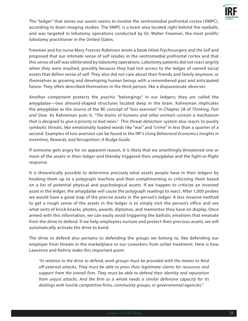

The "ledger" that stores our assets seems to involve the ventromedial prefrontal cortex (VMPC), according to brain imaging studies. The VMPC is a brain area located right behind the eyeballs, and was targeted in lobotomy operations conducted by Dr. Walter Freeman, the most prolific lobotomy practitioner in the United States.

Freeman and his nurse Mary Frances Robinson wrote a book titled *Psychosurgery and the Self* and proposed that our intimate sense of self resides in the ventromedial prefrontal cortex and that this sense of self was obliterated by lobotomy operations. Lobotomy patients did not react angrily when they were insulted, possibly because they had lost access to the ledger of owned social assets that define sense of self. They also did not care about their friends and family anymore, or themselves as growing and developing human beings with a remembered past and anticipated future. They often described themselves in the third person, like a dispassionate observer.

Another component protects the psychic "belongings" in our ledgers; they are called the amygdalae—two almond-shaped structures located deep in the brain. Kahneman implicates the amygdalae as the source of the BE concept of "loss aversion" in Chapter 28 of *Thinking, Fast and Slow*. As Kahneman puts it, *"The brains of humans and other animals contain a mechanism that is designed to give a priority to bad news."* This threat detection system also reacts to purely symbolic threats, like emotionally loaded words like "war" and "crime" in less than a quarter of a second. Examples of loss aversion can be found in the IRF's *Using Behavioral Economics Insights in Incentives, Rewards, and Recognition: A Nudge Guide.*

If someone gets angry for no apparent reason, it is likely that we unwittingly threatened one or more of the assets in their ledger and thereby triggered their amygdalae and the fight-or-flight response.

It is theoretically possible to determine precisely what assets people have in their ledgers by hooking them up to a polygraph machine and then complimenting or criticizing them based on a list of potential physical and psychological assets. If we happen to criticize an invested asset in the ledger, the amygdalae will cause the polygraph readings to react. After 1,000 probes we would have a good map of the precise assets in the person's ledger. A less invasive method to get a rough sense of the assets in the ledger is to simply visit the person's office and see what sorts of knick knacks, photos, awards, diplomas, and mementos they have on display. Once armed with this information, we can easily avoid triggering the ballistic emotions that emanate from the drive to defend. If we help employees nurture and protect their precious assets, we will automatically activate the drive to bond.

The drive to defend also pertains to defending the *groups* we belong to, like defending our employer from threats in the marketplace or our coworkers from unfair treatment. Here is how Lawrence and Nohria make this important point.

*"In relation to the drive to defend, work groups must be provided with the means to fend off external attacks. They must be able to press their legitimate claims for resources and support from the overall firm. They must be able to defend their identity and reputation from unjust attacks. And the firm as a whole needs a similar defensive capacity for its dealings with hostile competitive firms, community groups, or governmental agencies."*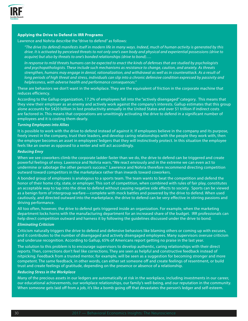

#### **Applying the Drive to Defend in IRR Programs**

#### Lawrence and Nohria describe the "drive to defend" as follows:

*"The drive (to defend) manifests itself in modern life in many ways. Indeed, much of human activity is generated by this drive. It is activated by perceived threats to not only one's own body and physical and experiential possessions (drive to acquire) but also by threats to one's bonded relationships (drive to bond)….* 

*In response to mild threats humans can be expected to enact the kinds of defenses that are studied by psychologists and psychopathologists. These include such mechanisms as resistance to change, caution, and anxiety. As threats strengthen, humans may engage in denial, rationalization, and withdrawal as well as in counterattack. As a result of long periods of high threat and stress, individuals can slip into a chronic defensive condition expressed by passivity and helplessness, with adverse health and performance consequences."* 

These are behaviors we don't want in the workplace. They are the equivalent of friction in the corporate machine that reduces efficiency.

According to the Gallup organization, 17.2% of employees fall into the "actively disengaged" category. This means that they view their employer as an enemy and actively work against the company's interests. Gallup estimates that this group alone accounts for \$420 billion in lost productivity annually in the United States and over \$1 trillion if indirect costs are factored in. This means that corporations are unwittingly activating the drive to defend in a significant number of employees and it is costing them dearly.

#### *Turning Employees into Allies*

It is possible to work with the drive to defend instead of against it. If employees believe in the company and its purpose, freely invest in the company, trust their leaders, and develop caring relationships with the people they work with, then the employer becomes an asset in employees' ledgers that they will instinctively protect. In this situation the employee feels like an owner as opposed to a renter and will act accordingly.

#### *Reducing Envy*

When we see coworkers climb the corporate ladder faster than we do, the drive to defend can be triggered and create powerful feelings of envy. Lawrence and Nohria warn, "We react enviously and in the extreme we can even act to undermine or sabotage the other person's success." Lawrence and Nohria therefore recommend directing competition outward toward competitors in the marketplace rather than inwards toward coworkers.

A bonded group of employees is analogous to a sports team. The team wants to beat the competition and defend the honor of their home city, state, or employer. This sort of competition, when combined with rules of fair play, constitutes an acceptable way to tap into the drive to defend without causing negative side effects to society. Sports can be viewed as a benign form of intergroup warfare—complete with mock battles and powered by the drive to defend. When used cautiously, and directed outward into the marketplace, the drive to defend can be very effective in stirring passions and driving performance.

All too often, however, the drive to defend gets triggered inside an organization. For example, when the marketing department locks horns with the manufacturing department for an increased share of the budget. IRR professionals can help direct competition outward and harness it by following the guidelines discussed under the drive to bond.

#### *Eliminating Criticism*

Criticism naturally triggers the drive to defend and defensive behaviors like blaming others or coming up with excuses, and it contributes to the number of disengaged and actively disengaged employees. Many supervisors overuse criticism and underuse recognition. According to Gallup, 65% of Americans report getting no praise in the last year.

The solution to this problem is to encourage supervisors to develop authentic, caring relationships with their direct reports. Then, corrections don't feel like corrections. They are seen as helpful and constructive feedback instead of nitpicking. Feedback from a trusted mentor, for example, will be seen as a suggestion for becoming stronger and more competent. The same feedback, in other words, can either set someone off and create feelings of resentment, or build trust and create feelings of gratitude, depending on the presence or absence of a relationship.

#### *Reducing Stress in the Workplace*

Many of the precious assets in our ledgers are automatically at risk in the workplace, including investments in our career, our educational achievements, our workplace relationships, our family's well-being, and our reputation in the community. When someone gets laid off from a job, it's like a bomb going off that devastates the person's ledger and self-esteem.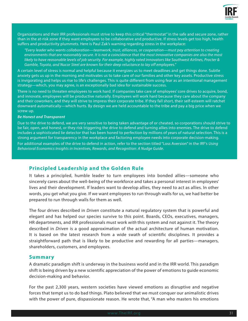

Organizations and their IRR professionals must strive to keep this critical "thermostat" in the safe and secure zone, rather than in the at-risk zone if they want employees to be collaborative and productive. If stress levels get too high, health suffers and productivity plummets. Here is Paul Zak's warning regarding stress in the workplace:

*"Every leader who wants collaboration—teamwork, trust, alliances, or cooperation—must pay attention to creating environments that are reasonably secure. It is not a coincidence that the most innovative companies are also the most likely to have reasonable levels of job security. For example, highly rated innovators like Southwest Airlines, Procter & Gamble, Toyota, and Nucor Steel are known for their deep reluctance to lay off employees."* 

A certain level of stress is normal and helpful because it energizes us to meet deadlines and get things done. Subtle anxiety gets us up in the morning and motivates us to take care of our families and other key assets. Productive stress is invigorating and helps us rise to life's challenges. This is quite different from using fear as an intentional management strategy—which, you may agree, is an exceptionally bad idea for sustainable success.

There is no need to threaten employees to work hard. If companies take care of employees' core drives to acquire, bond, and innovate, employees will be productive naturally. Employees will work hard because they care about the company and their coworkers, and they will strive to impress their corporate tribe. If they fall short, their self-esteem will ratchet downward automatically—which hurts. By design we are held accountable to the tribe and pay a big price when we screw up.

#### *Be Honest and Transparent*

Due to the drive to defend, we are very sensitive to being taken advantage of or cheated, so corporations should strive to be fair, open, and honest, or they risk triggering the drive to defend and turning allies into enemies. The drive to defend includes a sophisticated lie detector that has been honed to perfection by millions of years of natural selection. This is a strong argument for transparency in the workplace and factoring employee needs into corporate decision-making.

For additional examples of the drive to defend in action, refer to the section titled "Loss Aversion" in the IRF's *Using Behavioral Economics Insights in Incentives, Rewards, and Recognition: A Nudge Guide*.

#### **Principled Leadership and the Golden Rule**

It takes a principled, humble leader to turn employees into bonded allies—someone who sincerely cares about the well-being of the workforce and takes a personal interest in employees' lives and their development. If leaders want to develop allies, they need to act as allies. In other words, you get what you give. If we want employees to run through walls for us, we had better be prepared to run through walls for them as well.

The four drives described in *Driven* constitute a natural regulatory system that is powerful and elegant and has helped our species survive to this point. Boards, CEOs, executives, managers, HR departments, and IRR professionals must work *with* this system and not against it. The theory described in *Driven* is a good approximation of the actual architecture of human motivation. It is based on the latest research from a wide swath of scientific disciplines. It provides a straightforward path that is likely to be productive and rewarding for all parties—managers, shareholders, customers, and employees.

#### **Summary**

A dramatic paradigm shift is underway in the business world and in the IRR world. This paradigm shift is being driven by a new scientific appreciation of the power of emotions to guide economic decision-making and behavior.

For the past 2,300 years, western societies have viewed emotions as disruptive and negative forces that tempt us to do bad things. Plato believed that we must conquer our animalistic drives with the power of pure, dispassionate reason. He wrote that, "A man who masters his emotions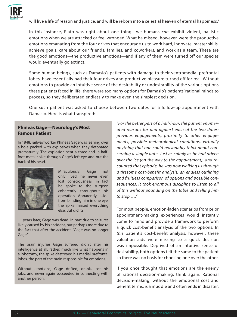

will live a life of reason and justice, and will be reborn into a celestial heaven of eternal happiness."

In this instance, Plato was right about one thing—we humans *can* exhibit violent, ballistic emotions when we are attacked or feel wronged. What he missed, however, were the productive emotions emanating from the four drives that encourage us to work hard, innovate, master skills, achieve goals, care about our friends, families, and coworkers, and work as a team. These are the good emotions—the productive emotions—and if any of them were turned off our species would eventually go extinct.

Some human beings, such as Damasio's patients with damage to their ventromedial prefrontal lobes, have essentially had their four drives and productive pleasure turned off for real. Without emotions to provide an intuitive sense of the desirability or undesirability of the various options these patients faced in life, there were too many options for Damasio's patients' rational minds to process, so they deliberated endlessly to make even the simplest decision.

One such patient was asked to choose between two dates for a follow-up appointment with Damasio. Here is what transpired:

# **Phineas Gage—Neurology's Most Famous Patient**

In 1848, railway worker Phineas Gage was leaning over a hole packed with explosives when they detonated prematurely. The explosion sent a three-and- a-halffoot metal spike through Gage's left eye and out the back of his head.



Miraculously, Gage not only lived, he never even lost consciousness; in fact he spoke to the surgeon coherently throughout his operation. Apparently, aside from blinding him in one eye, the spike missed everything else. But did it?

11 years later, Gage was dead. In part due to seizures likely caused by his accident, but perhaps more due to the fact that after the accident, "Gage was no longer Gage."

The brain injuries Gage suffered didn't alter his intelligence at all, rather, much like what happens in a lobotomy, the spike destroyed his medial prefrontal lobes, the part of the brain responsible for emotions.

Without emotions, Gage drifted, drank, lost his jobs, and never again succeeded in connecting with another person.

*"For the better part of a half-hour, the patient enumerated reasons for and against each of the two dates: previous engagements, proximity to other engagements, possible meteorological conditions, virtually anything that one could reasonably think about concerning a simple date. Just as calmly as he had driven over the ice (on the way to the appointment), and recounted that episode, he was now walking us through a tiresome cost-benefit analysis, an endless outlining and fruitless comparison of options and possible consequences. It took enormous discipline to listen to all of this without pounding on the table and telling him to stop …."*

For most people, emotion-laden scenarios from prior appointment-making experiences would instantly come to mind and provide a framework to perform a quick cost-benefit analysis of the two options. In *this* patient's cost-benefit analysis, however, these valuation aids were missing so a quick decision was impossible. Deprived of an intuitive sense of desirability, both options felt the same to the patient so there was no basis for choosing one over the other.

If you once thought that emotions are the enemy of rational decision-making, think again. Rational decision-making, without the emotional cost and benefit terms, is a muddle and often ends in disaster.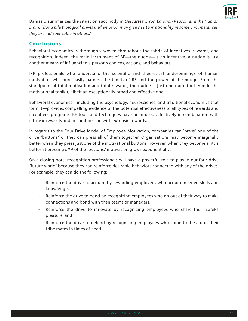

Damasio summarizes the situation succinctly in *Descartes' Error: Emotion Reason and the Human Brain, "But while biological drives and emotion may give rise to irrationality in some circumstances, they are indispensable in others."*

# **Conclusions**

Behavioral economics is thoroughly woven throughout the fabric of incentives, rewards, and recognition. Indeed, the main instrument of BE—the nudge—is an incentive. A nudge is just another means of influencing a person's choices, actions, and behaviors.

IRR professionals who understand the scientific and theoretical underpinnings of human motivation will more easily harness the tenets of BE and the power of the nudge. From the standpoint of total motivation and total rewards, the nudge is just one more tool type in the motivational toolkit, albeit an exceptionally broad and effective one.

Behavioral economics—including the psychology, neuroscience, and traditional economics that form it—provides compelling evidence of the potential effectiveness of all types of rewards and incentives programs. BE tools and techniques have been used effectively in combination with intrinsic rewards and in combination with extrinsic rewards.

In regards to the Four Drive Model of Employee Motivation, companies can "press" one of the drive "buttons," or they can press all of them together. Organizations may become marginally better when they press just one of the motivational buttons; however, when they become a little better at pressing *all 4* of the "buttons," motivation grows exponentially!

On a closing note, recognition professionals will have a powerful role to play in our four-drive "future world" because they can reinforce desirable behaviors connected with any of the drives. For example, they can do the following:

- Reinforce the drive to acquire by rewarding employees who acquire needed skills and knowledge,
- Reinforce the drive to bond by recognizing employees who go out of their way to make connections and bond with their teams or managers,
- Reinforce the drive to innovate by recognizing employees who share their Eureka pleasure, and
- Reinforce the drive to defend by recognizing employees who come to the aid of their tribe mates in times of need.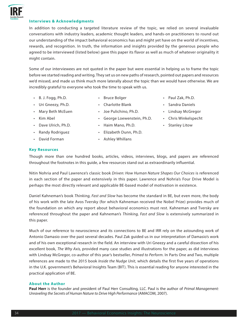#### **Interviews & Acknowledgments**

In addition to conducting a targeted literature review of the topic, we relied on several invaluable conversations with industry leaders, academic thought leaders, and hands-on practitioners to round out our understanding of the impact behavioral economics has and might yet have on the world of incentives, rewards, and recognition. In truth, the information and insights provided by the generous people who agreed to be interviewed (listed below) gave this paper its flavor as well as much of whatever originality it might contain.

Some of our interviewees are not quoted in the paper but were essential in helping us to frame the topic before we started reading and writing. They set us on new paths of research, pointed out papers and resources we'd missed, and made us think much more laterally about the topic than we would have otherwise. We are incredibly grateful to everyone who took the time to speak with us.

- B. J. Fogg, Ph.D.
- Bruce Bolger
- Uri Gneezy, Ph.D.
- Joe Pulichino, Ph.D.

• Kim Abel

- George Loewenstein, Ph.D.
- Haim Mano, Ph.D.
- Dave Ulrich, Ph.D. • Randy Rodriguez
- Elizabeth Dunn, Ph.D.
- David Forman
- Ashley Whillans

**Key Resources**

Though more than one hundred books, articles, videos, interviews, blogs, and papers are referenced throughout the footnotes in this guide, a few resources stand out as extraordinarily influential.

Nitin Nohria and Paul Lawrence's classic book *Driven: How Human Nature Shapes Our Choices* is referenced in each section of the paper and extensively in this paper. Lawrence and Nohria's Four Drive Model is perhaps the most directly relevant and applicable BE-based model of motivation in existence.

Daniel Kahneman's book *Thinking, Fast and Slow* has become the standard in BE, but even more, the body of his work with the late Avos Tversky (for which Kahneman received the Nobel Prize) provides much of the foundation on which any report about behavioral economics must rest. Kahneman and Tversky are referenced throughout the paper and Kahneman's *Thinking, Fast and Slow* is extensively summarized in this paper.

Much of our reference to neuroscience and its connections to BE and IRR rely on the astounding work of Antonio Damasio over the past several decades. Paul Zak guided us in our interpretation of Damasio's work and of his own exceptional research in the field. An interview with Uri Gneezy and a careful dissection of his excellent book, *The Why Axis,* provided many case studies and illustrations for the paper, as did interviews with Lindsay McGregor, co-author of this year's bestseller, *Primed to Perform*. In Parts One and Two, multiple references are made to the 2015 book *Inside the Nudge Unit*, which details the first five years of operations in the U.K. government's Behavioral Insights Team (BIT). This is essential reading for anyone interested in the practical application of BE.

#### **About the Author**

**Paul Herr** is the founder and president of Paul Herr Consulting, LLC. Paul is the author of *Primal Management: Unraveling the Secrets of Human Nature to Drive High Performance* (AMACOM, 2007).

- Paul Zak, Ph.D.
- Sandra Daniels
- Lindsay McGregor
- Chris Winkelspecht
- Stanley Litow
- Charlotte Blank
- Mary Beth McEuen
	-
	-